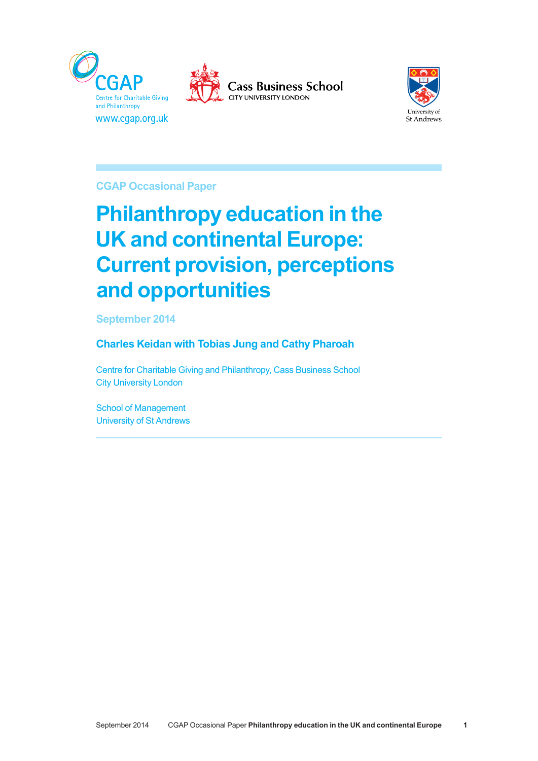





**CGAP Occasional Paper**  *CGAP Briefing Note 1*

# **Philanthropy education in the UK and continental Europe: Current provision, perceptions and opportunities**

**September 2014** 

# **Charles Keidan with Tobias Jung and Cathy Pharoah**

Centre for Charitable Giving and Philanthropy, Cass Business School *City University London* 

School of Management University of St Andrews *giving' and that people will adjust their donations in line with the impact of tax changes both on their income and on the price of giving. Current (proposed and actual) changes in the environment for giving in the UK will affect both income*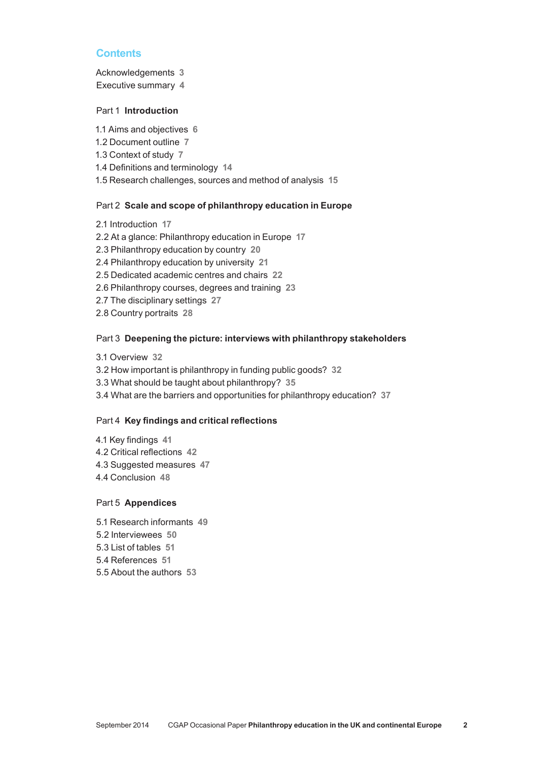# **Contents**

Acknowledgements **3** Executive summary **4**

# Part 1 **Introduction**

- 1.1 Aims and objectives **6** 1.2 Document outline **7** 1.3 Context of study **7** 1.4 Definitions and terminology **14**
- 1.5 Research challenges, sources and method of analysis **15**

#### Part 2 **Scale and scope of philanthropy education in Europe**

2.1 Introduction **17** 2.2 At a glance: Philanthropy education in Europe **17** 2.3 Philanthropy education by country **20** 2.4 Philanthropy education by university **21** 2.5 Dedicated academic centres and chairs **22** 2.6 Philanthropy courses, degrees and training **23** 2.7 The disciplinary settings **27** 2.8 Country portraits **28**

#### Part 3 **Deepening the picture: interviews with philanthropy stakeholders**

3.1 Overview **32** 3.2 How important is philanthropy in funding public goods? **32** 3.3 What should be taught about philanthropy? **35** 3.4 What are the barriers and opportunities for philanthropy education? **37**

#### Part 4 **Key findings and critical reflections**

4.1 Key findings **41** 4.2 Critical reflections **42** 4.3 Suggested measures **47** 4.4 Conclusion **48**

## Part 5 **Appendices**

5.1 Research informants **49** 5.2 Interviewees **50** 5.3 List of tables **51** 5.4 References **51** 5.5 About the authors **53**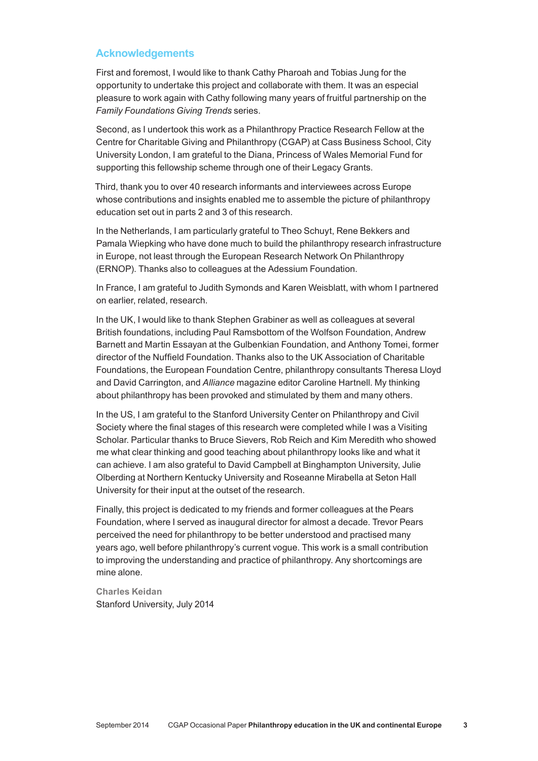# **Acknowledgements**

First and foremost, I would like to thank Cathy Pharoah and Tobias Jung for the opportunity to undertake this project and collaborate with them. It was an especial pleasure to work again with Cathy following many years of fruitful partnership on the *Family Foundations Giving Trends* series.

Second, as I undertook this work as a Philanthropy Practice Research Fellow at the Centre for Charitable Giving and Philanthropy (CGAP) at Cass Business School, City University London, I am grateful to the Diana, Princess of Wales Memorial Fund for supporting this fellowship scheme through one of their Legacy Grants.

Third, thank you to over 40 research informants and interviewees across Europe whose contributions and insights enabled me to assemble the picture of philanthropy education set out in parts 2 and 3 of this research.

In the Netherlands, I am particularly grateful to Theo Schuyt, Rene Bekkers and Pamala Wiepking who have done much to build the philanthropy research infrastructure in Europe, not least through the European Research Network On Philanthropy (ERNOP). Thanks also to colleagues at the Adessium Foundation.

In France, I am grateful to Judith Symonds and Karen Weisblatt, with whom I partnered on earlier, related, research.

In the UK, I would like to thank Stephen Grabiner as well as colleagues at several British foundations, including Paul Ramsbottom of the Wolfson Foundation, Andrew Barnett and Martin Essayan at the Gulbenkian Foundation, and Anthony Tomei, former director of the Nuffield Foundation. Thanks also to the UK Association of Charitable Foundations, the European Foundation Centre, philanthropy consultants Theresa Lloyd and David Carrington, and *Alliance* magazine editor Caroline Hartnell. My thinking about philanthropy has been provoked and stimulated by them and many others.

In the US, I am grateful to the Stanford University Center on Philanthropy and Civil Society where the final stages of this research were completed while I was a Visiting Scholar. Particular thanks to Bruce Sievers, Rob Reich and Kim Meredith who showed me what clear thinking and good teaching about philanthropy looks like and what it can achieve. I am also grateful to David Campbell at Binghampton University, Julie Olberding at Northern Kentucky University and Roseanne Mirabella at Seton Hall University for their input at the outset of the research.

Finally, this project is dedicated to my friends and former colleagues at the Pears Foundation, where I served as inaugural director for almost a decade. Trevor Pears perceived the need for philanthropy to be better understood and practised many years ago, well before philanthropy's current vogue. This work is a small contribution to improving the understanding and practice of philanthropy. Any shortcomings are mine alone.

**Charles Keidan** Stanford University, July 2014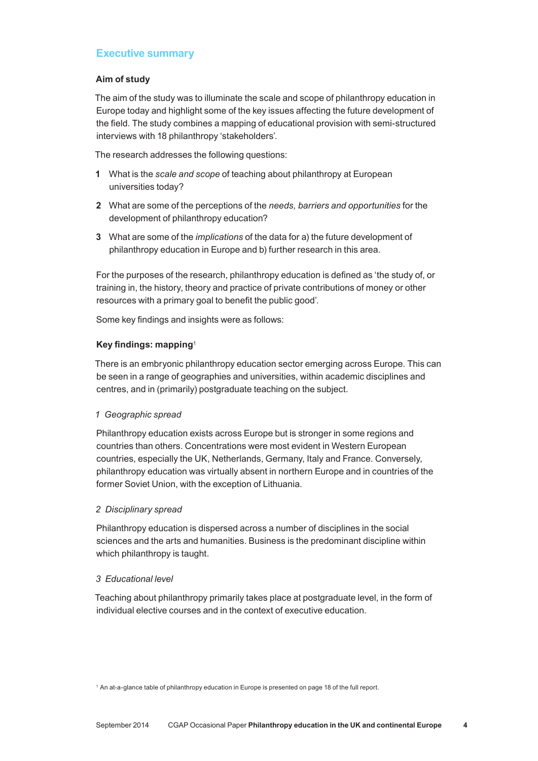# **Executive summary**

# **Aim of study**

The aim of the study was to illuminate the scale and scope of philanthropy education in Europe today and highlight some of the key issues affecting the future development of the field. The study combines a mapping of educational provision with semi‑structured interviews with 18 philanthropy 'stakeholders'.

The research addresses the following questions:

- **1** What is the *scale and scope* of teaching about philanthropy at European universities today?
- **2** What are some of the perceptions of the *needs, barriers and opportunities* for the development of philanthropy education?
- **3** What are some of the *implications* of the data for a) the future development of philanthropy education in Europe and b) further research in this area.

For the purposes of the research, philanthropy education is defined as 'the study of, or training in, the history, theory and practice of private contributions of money or other resources with a primary goal to benefit the public good'.

Some key findings and insights were as follows:

# **Key findings: mapping**<sup>1</sup>

There is an embryonic philanthropy education sector emerging across Europe. This can be seen in a range of geographies and universities, within academic disciplines and centres, and in (primarily) postgraduate teaching on the subject.

# *1 Geographic spread*

Philanthropy education exists across Europe but is stronger in some regions and countries than others. Concentrations were most evident in Western European countries, especially the UK, Netherlands, Germany, Italy and France. Conversely, philanthropy education was virtually absent in northern Europe and in countries of the former Soviet Union, with the exception of Lithuania.

# *2 Disciplinary spread*

Philanthropy education is dispersed across a number of disciplines in the social sciences and the arts and humanities. Business is the predominant discipline within which philanthropy is taught.

# *3 Educational level*

Teaching about philanthropy primarily takes place at postgraduate level, in the form of individual elective courses and in the context of executive education.

<sup>1</sup> An at-a-glance table of philanthropy education in Europe is presented on page 18 of the full report.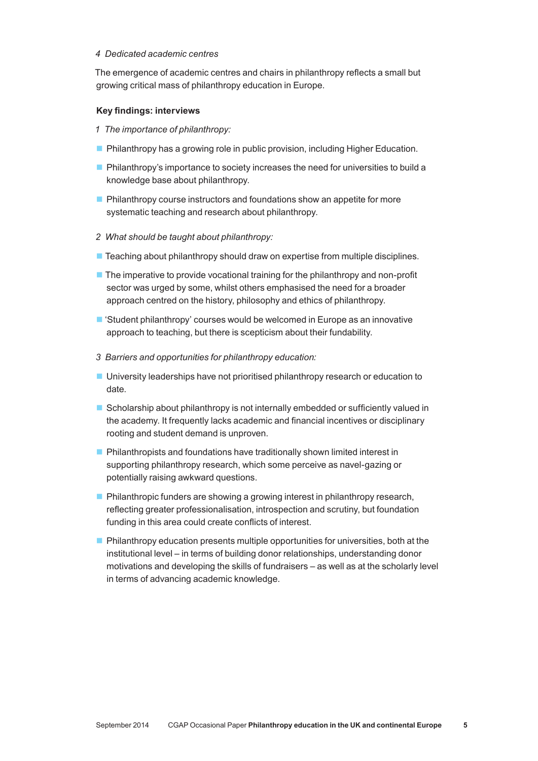#### *4 Dedicated academic centres*

The emergence of academic centres and chairs in philanthropy reflects a small but growing critical mass of philanthropy education in Europe.

#### **Key findings: interviews**

- *1 The importance of philanthropy:*
- **Philanthropy has a growing role in public provision, including Higher Education.**
- **Philanthropy's importance to society increases the need for universities to build a** knowledge base about philanthropy.
- **Philanthropy course instructors and foundations show an appetite for more** systematic teaching and research about philanthropy.
- *2 What should be taught about philanthropy:*
- $\blacksquare$  Teaching about philanthropy should draw on expertise from multiple disciplines.
- $\blacksquare$  The imperative to provide vocational training for the philanthropy and non-profit sector was urged by some, whilst others emphasised the need for a broader approach centred on the history, philosophy and ethics of philanthropy.
- 'Student philanthropy' courses would be welcomed in Europe as an innovative approach to teaching, but there is scepticism about their fundability.
- *3 Barriers and opportunities for philanthropy education:*
- University leaderships have not prioritised philanthropy research or education to date.
- $\blacksquare$  Scholarship about philanthropy is not internally embedded or sufficiently valued in the academy. It frequently lacks academic and financial incentives or disciplinary rooting and student demand is unproven.
- **Philanthropists and foundations have traditionally shown limited interest in** supporting philanthropy research, which some perceive as navel-gazing or potentially raising awkward questions.
- **Philanthropic funders are showing a growing interest in philanthropy research,** reflecting greater professionalisation, introspection and scrutiny, but foundation funding in this area could create conflicts of interest.
- $\blacksquare$  Philanthropy education presents multiple opportunities for universities, both at the institutional level – in terms of building donor relationships, understanding donor motivations and developing the skills of fundraisers – as well as at the scholarly level in terms of advancing academic knowledge.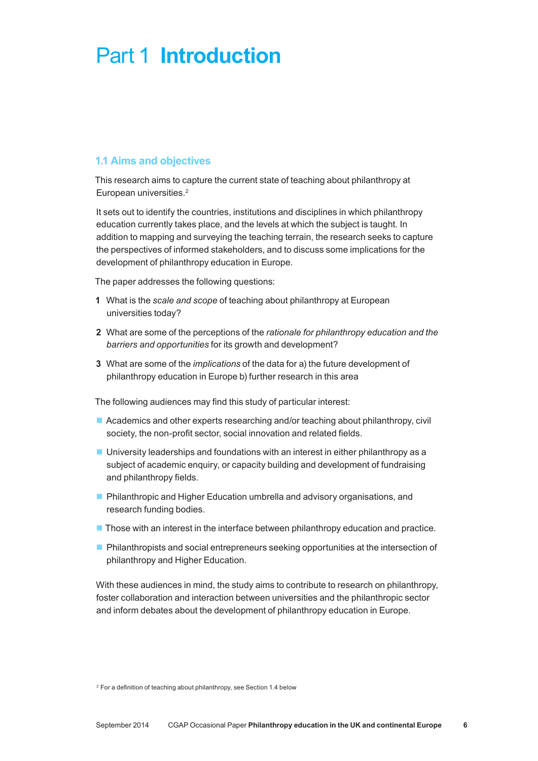# Part 1 **Introduction**

# **1.1 Aims and objectives**

This research aims to capture the current state of teaching about philanthropy at European universities.<sup>2</sup>

It sets out to identify the countries, institutions and disciplines in which philanthropy education currently takes place, and the levels at which the subject is taught. In addition to mapping and surveying the teaching terrain, the research seeks to capture the perspectives of informed stakeholders, and to discuss some implications for the development of philanthropy education in Europe.

The paper addresses the following questions:

- **1** What is the *scale and scope* of teaching about philanthropy at European universities today?
- **2** What are some of the perceptions of the *rationale for philanthropy education and the barriers and opportunities* for its growth and development?
- **3** What are some of the *implications* of the data for a) the future development of philanthropy education in Europe b) further research in this area

The following audiences may find this study of particular interest:

- Academics and other experts researching and/or teaching about philanthropy, civil society, the non-profit sector, social innovation and related fields.
- $\blacksquare$  University leaderships and foundations with an interest in either philanthropy as a subject of academic enquiry, or capacity building and development of fundraising and philanthropy fields.
- **Philanthropic and Higher Education umbrella and advisory organisations, and** research funding bodies.
- Those with an interest in the interface between philanthropy education and practice.
- **Philanthropists and social entrepreneurs seeking opportunities at the intersection of** philanthropy and Higher Education.

With these audiences in mind, the study aims to contribute to research on philanthropy, foster collaboration and interaction between universities and the philanthropic sector and inform debates about the development of philanthropy education in Europe.

<sup>2</sup> For a definition of teaching about philanthropy, see Section 1.4 below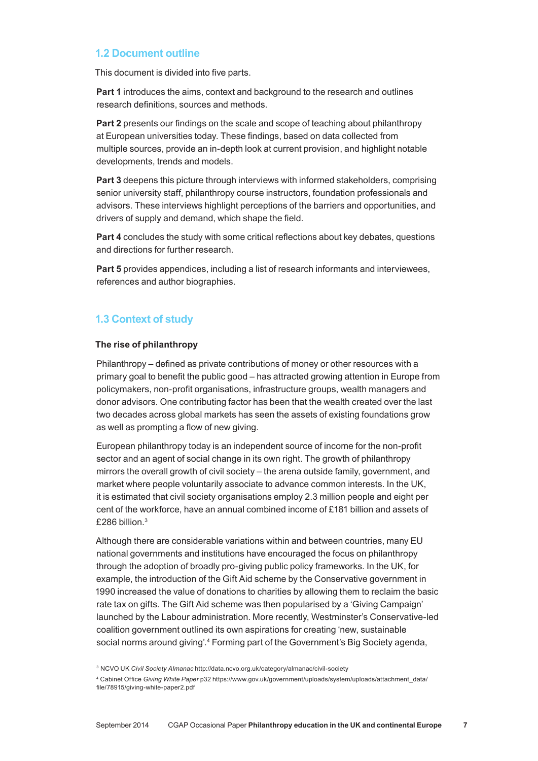# **1.2 Document outline**

This document is divided into five parts.

**Part 1** introduces the aims, context and background to the research and outlines research definitions, sources and methods.

**Part 2** presents our findings on the scale and scope of teaching about philanthropy at European universities today. These findings, based on data collected from multiple sources, provide an in‑depth look at current provision, and highlight notable developments, trends and models.

**Part 3** deepens this picture through interviews with informed stakeholders, comprising senior university staff, philanthropy course instructors, foundation professionals and advisors. These interviews highlight perceptions of the barriers and opportunities, and drivers of supply and demand, which shape the field.

**Part 4** concludes the study with some critical reflections about key debates, questions and directions for further research.

**Part 5** provides appendices, including a list of research informants and interviewees, references and author biographies.

# **1.3 Context of study**

#### **The rise of philanthropy**

Philanthropy – defined as private contributions of money or other resources with a primary goal to benefit the public good – has attracted growing attention in Europe from policymakers, non‑profit organisations, infrastructure groups, wealth managers and donor advisors. One contributing factor has been that the wealth created over the last two decades across global markets has seen the assets of existing foundations grow as well as prompting a flow of new giving.

European philanthropy today is an independent source of income for the non‑profit sector and an agent of social change in its own right. The growth of philanthropy mirrors the overall growth of civil society – the arena outside family, government, and market where people voluntarily associate to advance common interests. In the UK, it is estimated that civil society organisations employ 2.3 million people and eight per cent of the workforce, have an annual combined income of £181 billion and assets of £286 billion.3

Although there are considerable variations within and between countries, many EU national governments and institutions have encouraged the focus on philanthropy through the adoption of broadly pro‑giving public policy frameworks. In the UK, for example, the introduction of the Gift Aid scheme by the Conservative government in 1990 increased the value of donations to charities by allowing them to reclaim the basic rate tax on gifts. The Gift Aid scheme was then popularised by a 'Giving Campaign' launched by the Labour administration. More recently, Westminster's Conservative-led coalition government outlined its own aspirations for creating 'new, sustainable social norms around giving'.4 Forming part of the Government's Big Society agenda,

<sup>3</sup> NCVO UK *Civil Society Almanac* http://data.ncvo.org.uk/category/almanac/civil‑society

<sup>4</sup> Cabinet Office *Giving White Paper* p32 https://www.gov.uk/government/uploads/system/uploads/attachment\_data/ file/78915/giving‑white‑paper2.pdf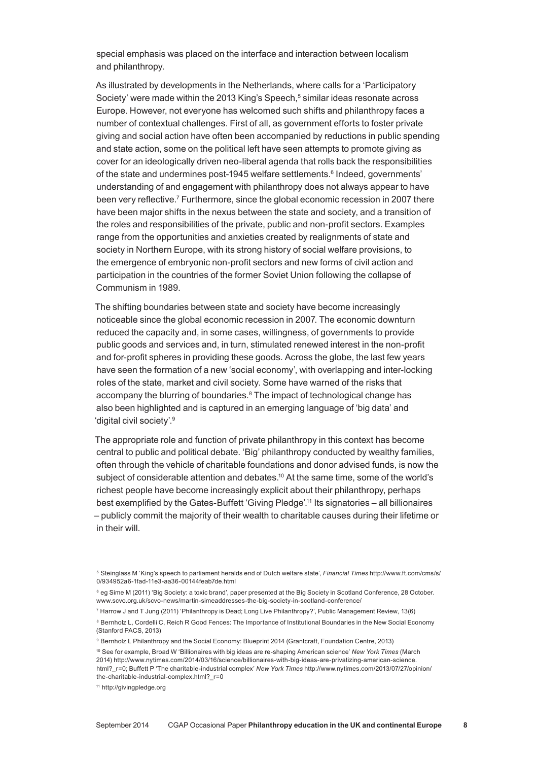special emphasis was placed on the interface and interaction between localism and philanthropy.

As illustrated by developments in the Netherlands, where calls for a 'Participatory Society' were made within the 2013 King's Speech,<sup>5</sup> similar ideas resonate across Europe. However, not everyone has welcomed such shifts and philanthropy faces a number of contextual challenges. First of all, as government efforts to foster private giving and social action have often been accompanied by reductions in public spending and state action, some on the political left have seen attempts to promote giving as cover for an ideologically driven neo‑liberal agenda that rolls back the responsibilities of the state and undermines post-1945 welfare settlements.<sup>6</sup> Indeed, governments' understanding of and engagement with philanthropy does not always appear to have been very reflective.<sup>7</sup> Furthermore, since the global economic recession in 2007 there have been major shifts in the nexus between the state and society, and a transition of the roles and responsibilities of the private, public and non‑profit sectors. Examples range from the opportunities and anxieties created by realignments of state and society in Northern Europe, with its strong history of social welfare provisions, to the emergence of embryonic non‑profit sectors and new forms of civil action and participation in the countries of the former Soviet Union following the collapse of Communism in 1989.

The shifting boundaries between state and society have become increasingly noticeable since the global economic recession in 2007. The economic downturn reduced the capacity and, in some cases, willingness, of governments to provide public goods and services and, in turn, stimulated renewed interest in the non-profit and for‑profit spheres in providing these goods. Across the globe, the last few years have seen the formation of a new 'social economy', with overlapping and inter-locking roles of the state, market and civil society. Some have warned of the risks that accompany the blurring of boundaries.<sup>8</sup> The impact of technological change has also been highlighted and is captured in an emerging language of 'big data' and 'digital civil society'.9

The appropriate role and function of private philanthropy in this context has become central to public and political debate. 'Big' philanthropy conducted by wealthy families, often through the vehicle of charitable foundations and donor advised funds, is now the subject of considerable attention and debates.<sup>10</sup> At the same time, some of the world's richest people have become increasingly explicit about their philanthropy, perhaps best exemplified by the Gates‑Buffett 'Giving Pledge'. 11 Its signatories – all billionaires – publicly commit the majority of their wealth to charitable causes during their lifetime or in their will.

<sup>5</sup> Steinglass M 'King's speech to parliament heralds end of Dutch welfare state', *Financial Times* http://www.ft.com/cms/s/ 0/934952a6‑1fad‑11e3‑aa36‑00144feab7de.html

<sup>6</sup> eg Sime M (2011) 'Big Society: a toxic brand', paper presented at the Big Society in Scotland Conference, 28 October. www.scvo.org.uk/scvo-news/martin-simeaddresses-the-big-society-in-scotland-conference/

<sup>7</sup> Harrow J and T Jung (2011) 'Philanthropy is Dead; Long Live Philanthropy?', Public Management Review, 13(6)

<sup>&</sup>lt;sup>8</sup> Bernholz L, Cordelli C, Reich R Good Fences: The Importance of Institutional Boundaries in the New Social Economy (Stanford PACS, 2013)

<sup>&</sup>lt;sup>9</sup> Bernholz L Philanthropy and the Social Economy: Blueprint 2014 (Grantcraft, Foundation Centre, 2013)

<sup>10</sup> See for example, Broad W 'Billionaires with big ideas are re‑shaping American science' *New York Times* (March 2014) http://www.nytimes.com/2014/03/16/science/billionaires-with-big-ideas-are-privatizing-american-science html?\_r=0; Buffett P 'The charitable‑industrial complex' *New York Times* http://www.nytimes.com/2013/07/27/opinion/ the-charitable-industrial-complex.html? r=0

<sup>11</sup> http://givingpledge.org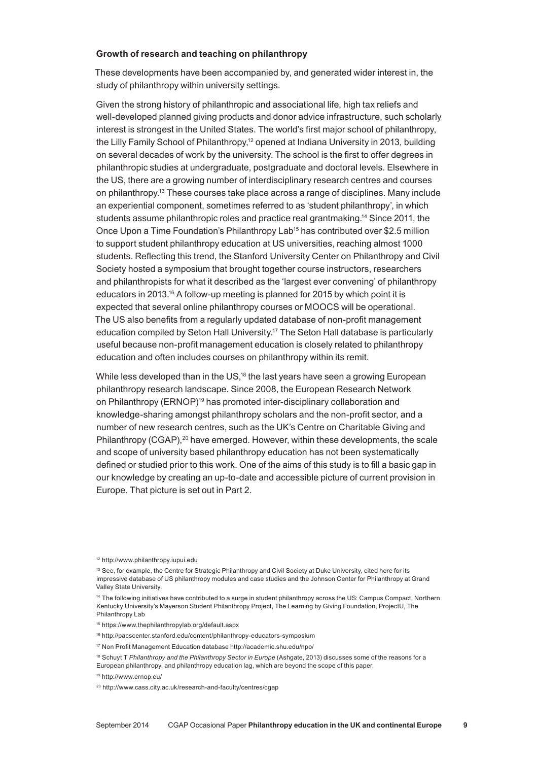#### **Growth of research and teaching on philanthropy**

These developments have been accompanied by, and generated wider interest in, the study of philanthropy within university settings.

Given the strong history of philanthropic and associational life, high tax reliefs and well-developed planned giving products and donor advice infrastructure, such scholarly interest is strongest in the United States. The world's first major school of philanthropy, the Lilly Family School of Philanthropy,<sup>12</sup> opened at Indiana University in 2013, building on several decades of work by the university. The school is the first to offer degrees in philanthropic studies at undergraduate, postgraduate and doctoral levels. Elsewhere in the US, there are a growing number of interdisciplinary research centres and courses on philanthropy.13 These courses take place across a range of disciplines. Many include an experiential component, sometimes referred to as 'student philanthropy', in which students assume philanthropic roles and practice real grantmaking.14 Since 2011, the Once Upon a Time Foundation's Philanthropy Lab<sup>15</sup> has contributed over \$2.5 million to support student philanthropy education at US universities, reaching almost 1000 students. Reflecting this trend, the Stanford University Center on Philanthropy and Civil Society hosted a symposium that brought together course instructors, researchers and philanthropists for what it described as the 'largest ever convening' of philanthropy educators in 2013.<sup>16</sup> A follow-up meeting is planned for 2015 by which point it is expected that several online philanthropy courses or MOOCS will be operational. The US also benefits from a regularly updated database of non‑profit management education compiled by Seton Hall University.17 The Seton Hall database is particularly useful because non‑profit management education is closely related to philanthropy education and often includes courses on philanthropy within its remit.

While less developed than in the US,<sup>18</sup> the last years have seen a growing European philanthropy research landscape. Since 2008, the European Research Network on Philanthropy (ERNOP)<sup>19</sup> has promoted inter-disciplinary collaboration and knowledge‑sharing amongst philanthropy scholars and the non‑profit sector, and a number of new research centres, such as the UK's Centre on Charitable Giving and Philanthropy (CGAP),<sup>20</sup> have emerged. However, within these developments, the scale and scope of university based philanthropy education has not been systematically defined or studied prior to this work. One of the aims of this study is to fill a basic gap in our knowledge by creating an up-to-date and accessible picture of current provision in Europe. That picture is set out in Part 2.

<sup>17</sup> Non Profit Management Education database http://academic.shu.edu/npo/

<sup>12</sup> http://www.philanthropy.iupui.edu

<sup>&</sup>lt;sup>13</sup> See, for example, the Centre for Strategic Philanthropy and Civil Society at Duke University, cited here for its impressive database of US philanthropy modules and case studies and the Johnson Center for Philanthropy at Grand Valley State University.

<sup>14</sup> The following initiatives have contributed to a surge in student philanthropy across the US: Campus Compact, Northern Kentucky University's Mayerson Student Philanthropy Project, The Learning by Giving Foundation, ProjectU, The Philanthropy Lab

<sup>15</sup> https://www.thephilanthropylab.org/default.aspx

<sup>16</sup> http://pacscenter.stanford.edu/content/philanthropy-educators-symposium

<sup>18</sup> Schuyt T *Philanthropy and the Philanthropy Sector in Europe* (Ashgate, 2013) discusses some of the reasons for a

European philanthropy, and philanthropy education lag, which are beyond the scope of this paper.

<sup>19</sup> http://www.ernop.eu/

<sup>&</sup>lt;sup>20</sup> http://www.cass.city.ac.uk/research-and-faculty/centres/cgap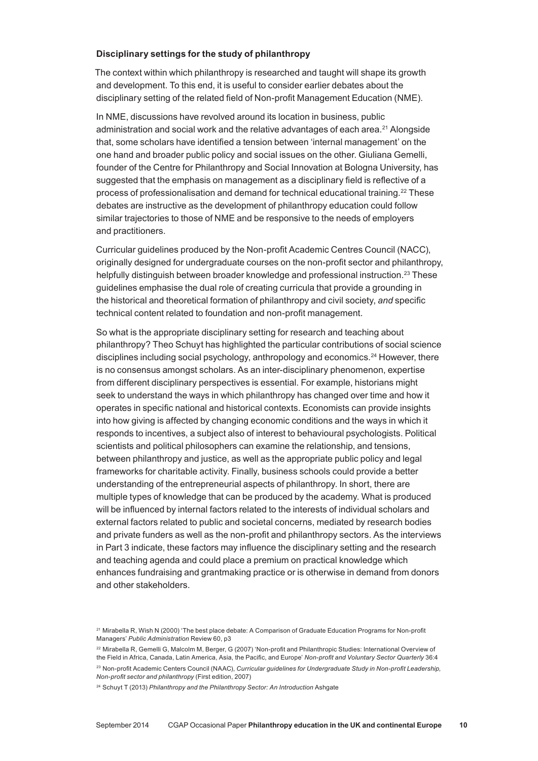#### **Disciplinary settings for the study of philanthropy**

The context within which philanthropy is researched and taught will shape its growth and development. To this end, it is useful to consider earlier debates about the disciplinary setting of the related field of Non-profit Management Education (NME).

In NME, discussions have revolved around its location in business, public administration and social work and the relative advantages of each area.21 Alongside that, some scholars have identified a tension between 'internal management' on the one hand and broader public policy and social issues on the other. Giuliana Gemelli, founder of the Centre for Philanthropy and Social Innovation at Bologna University, has suggested that the emphasis on management as a disciplinary field is reflective of a process of professionalisation and demand for technical educational training.22 These debates are instructive as the development of philanthropy education could follow similar trajectories to those of NME and be responsive to the needs of employers and practitioners.

Curricular guidelines produced by the Non‑profit Academic Centres Council (NACC), originally designed for undergraduate courses on the non‑profit sector and philanthropy, helpfully distinguish between broader knowledge and professional instruction.<sup>23</sup> These guidelines emphasise the dual role of creating curricula that provide a grounding in the historical and theoretical formation of philanthropy and civil society, *and* specific technical content related to foundation and non‑profit management.

So what is the appropriate disciplinary setting for research and teaching about philanthropy? Theo Schuyt has highlighted the particular contributions of social science disciplines including social psychology, anthropology and economics.24 However, there is no consensus amongst scholars. As an inter-disciplinary phenomenon, expertise from different disciplinary perspectives is essential. For example, historians might seek to understand the ways in which philanthropy has changed over time and how it operates in specific national and historical contexts. Economists can provide insights into how giving is affected by changing economic conditions and the ways in which it responds to incentives, a subject also of interest to behavioural psychologists. Political scientists and political philosophers can examine the relationship, and tensions, between philanthropy and justice, as well as the appropriate public policy and legal frameworks for charitable activity. Finally, business schools could provide a better understanding of the entrepreneurial aspects of philanthropy. In short, there are multiple types of knowledge that can be produced by the academy. What is produced will be influenced by internal factors related to the interests of individual scholars and external factors related to public and societal concerns, mediated by research bodies and private funders as well as the non‑profit and philanthropy sectors. As the interviews in Part 3 indicate, these factors may influence the disciplinary setting and the research and teaching agenda and could place a premium on practical knowledge which enhances fundraising and grantmaking practice or is otherwise in demand from donors and other stakeholders.

<sup>&</sup>lt;sup>21</sup> Mirabella R, Wish N (2000) 'The best place debate: A Comparison of Graduate Education Programs for Non-profit Managers' *Public Administration* Review 60, p3

<sup>&</sup>lt;sup>22</sup> Mirabella R, Gemelli G, Malcolm M, Berger, G (2007) 'Non-profit and Philanthropic Studies: International Overview of the Field in Africa, Canada, Latin America, Asia, the Pacific, and Europe' *Non‑profit and Voluntary Sector Quarterly* 36:4 <sup>23</sup> Non-profit Academic Centers Council (NAAC), *Curricular guidelines for Undergraduate Study in Non-profit Leadership*, *Non‑profit sector and philanthropy* (First edition, 2007)

<sup>24</sup> Schuyt T (2013) *Philanthropy and the Philanthropy Sector: An Introduction* Ashgate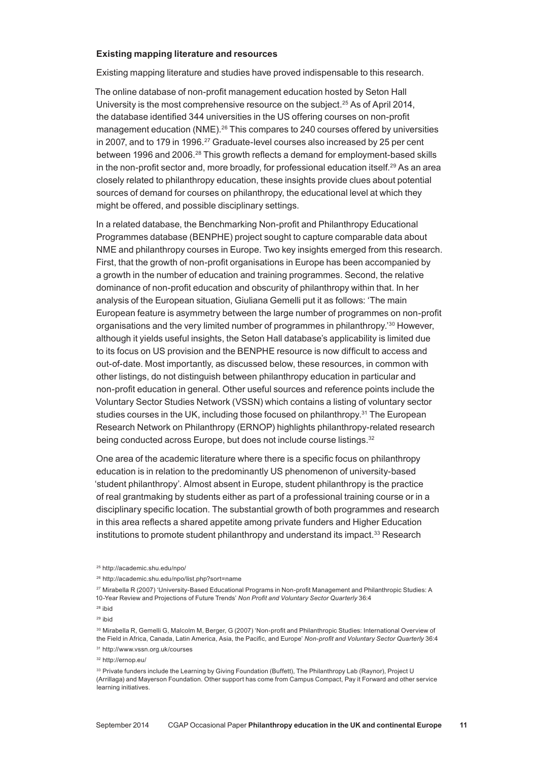#### **Existing mapping literature and resources**

Existing mapping literature and studies have proved indispensable to this research.

The online database of non‑profit management education hosted by Seton Hall University is the most comprehensive resource on the subject.25 As of April 2014, the database identified 344 universities in the US offering courses on non-profit management education (NME).<sup>26</sup> This compares to 240 courses offered by universities in 2007, and to 179 in 1996.<sup>27</sup> Graduate-level courses also increased by 25 per cent between 1996 and 2006.<sup>28</sup> This growth reflects a demand for employment-based skills in the non-profit sector and, more broadly, for professional education itself.<sup>29</sup> As an area closely related to philanthropy education, these insights provide clues about potential sources of demand for courses on philanthropy, the educational level at which they might be offered, and possible disciplinary settings.

In a related database, the Benchmarking Non‑profit and Philanthropy Educational Programmes database (BENPHE) project sought to capture comparable data about NME and philanthropy courses in Europe. Two key insights emerged from this research. First, that the growth of non‑profit organisations in Europe has been accompanied by a growth in the number of education and training programmes. Second, the relative dominance of non‑profit education and obscurity of philanthropy within that. In her analysis of the European situation, Giuliana Gemelli put it as follows: 'The main European feature is asymmetry between the large number of programmes on non‑profit organisations and the very limited number of programmes in philanthropy.'30 However, although it yields useful insights, the Seton Hall database's applicability is limited due to its focus on US provision and the BENPHE resource is now difficult to access and out‑of‑date. Most importantly, as discussed below, these resources, in common with other listings, do not distinguish between philanthropy education in particular and non‑profit education in general. Other useful sources and reference points include the Voluntary Sector Studies Network (VSSN) which contains a listing of voluntary sector studies courses in the UK, including those focused on philanthropy.<sup>31</sup> The European Research Network on Philanthropy (ERNOP) highlights philanthropy-related research being conducted across Europe, but does not include course listings.<sup>32</sup>

One area of the academic literature where there is a specific focus on philanthropy education is in relation to the predominantly US phenomenon of university-based 'student philanthropy'. Almost absent in Europe, student philanthropy is the practice of real grantmaking by students either as part of a professional training course or in a disciplinary specific location. The substantial growth of both programmes and research in this area reflects a shared appetite among private funders and Higher Education institutions to promote student philanthropy and understand its impact.<sup>33</sup> Research

<sup>25</sup> http://academic.shu.edu/npo/

<sup>26</sup> http://academic.shu.edu/npo/list.php?sort=name

<sup>27</sup> Mirabella R (2007) 'University‑Based Educational Programs in Non‑profit Management and Philanthropic Studies: A 10‑Year Review and Projections of Future Trends' *Non Profit and Voluntary Sector Quarterly* 36:4

<sup>28</sup> ibid

<sup>29</sup> ibid

<sup>30</sup> Mirabella R, Gemelli G, Malcolm M, Berger, G (2007) 'Non-profit and Philanthropic Studies: International Overview of the Field in Africa, Canada, Latin America, Asia, the Pacific, and Europe' *Non‑profit and Voluntary Sector Quarterly* 36:4

<sup>31</sup> http://www.vssn.org.uk/courses

<sup>32</sup> http://ernop.eu/

<sup>33</sup> Private funders include the Learning by Giving Foundation (Buffett), The Philanthropy Lab (Raynor), Project U (Arrillaga) and Mayerson Foundation. Other support has come from Campus Compact, Pay it Forward and other service learning initiatives.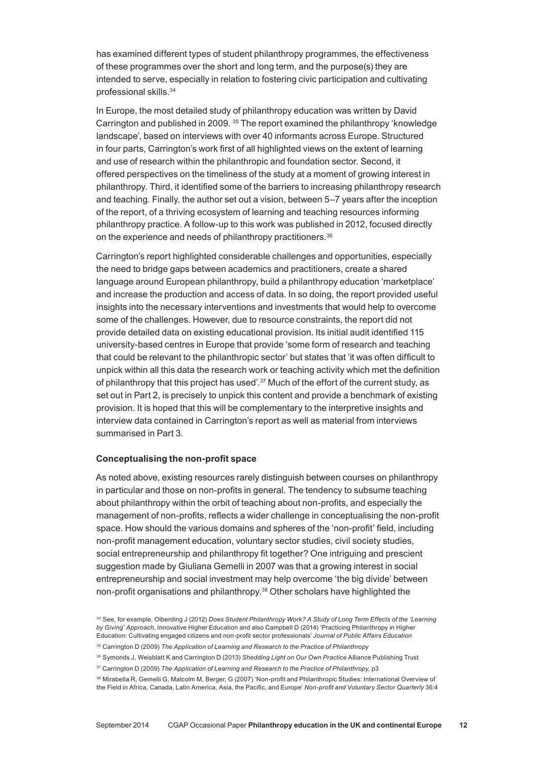has examined different types of student philanthropy programmes, the effectiveness of these programmes over the short and long term, and the purpose(s) they are intended to serve, especially in relation to fostering civic participation and cultivating professional skills.34

In Europe, the most detailed study of philanthropy education was written by David Carrington and published in 2009. 35 The report examined the philanthropy 'knowledge landscape', based on interviews with over 40 informants across Europe. Structured in four parts, Carrington's work first of all highlighted views on the extent of learning and use of research within the philanthropic and foundation sector. Second, it offered perspectives on the timeliness of the study at a moment of growing interest in philanthropy. Third, it identified some of the barriers to increasing philanthropy research and teaching. Finally, the author set out a vision, between 5–7 years after the inception of the report, of a thriving ecosystem of learning and teaching resources informing philanthropy practice. A follow‑up to this work was published in 2012, focused directly on the experience and needs of philanthropy practitioners.<sup>36</sup>

Carrington's report highlighted considerable challenges and opportunities, especially the need to bridge gaps between academics and practitioners, create a shared language around European philanthropy, build a philanthropy education 'marketplace' and increase the production and access of data. In so doing, the report provided useful insights into the necessary interventions and investments that would help to overcome some of the challenges. However, due to resource constraints, the report did not provide detailed data on existing educational provision. Its initial audit identified 115 university‑based centres in Europe that provide 'some form of research and teaching that could be relevant to the philanthropic sector' but states that 'it was often difficult to unpick within all this data the research work or teaching activity which met the definition of philanthropy that this project has used'.37 Much of the effort of the current study, as set out in Part 2, is precisely to unpick this content and provide a benchmark of existing provision. It is hoped that this will be complementary to the interpretive insights and interview data contained in Carrington's report as well as material from interviews summarised in Part 3.

#### **Conceptualising the non‑profit space**

As noted above, existing resources rarely distinguish between courses on philanthropy in particular and those on non-profits in general. The tendency to subsume teaching about philanthropy within the orbit of teaching about non‑profits, and especially the management of non-profits, reflects a wider challenge in conceptualising the non-profit space. How should the various domains and spheres of the 'non-profit' field, including non‑profit management education, voluntary sector studies, civil society studies, social entrepreneurship and philanthropy fit together? One intriguing and prescient suggestion made by Giuliana Gemelli in 2007 was that a growing interest in social entrepreneurship and social investment may help overcome 'the big divide' between non‑profit organisations and philanthropy.38 Other scholars have highlighted the

<sup>34</sup> See, for example, Olberding J (2012) *Does Student Philanthropy Work? A Study of Long Term Effects of the 'Learning by Giving' Approach*, Innovative Higher Education and also Campbell D (2014) 'Practicing Philanthropy in Higher Education: Cultivating engaged citizens and non‑profit sector professionals' *Journal of Public Affairs Education*

<sup>35</sup> Carrington D (2009) *The Application of Learning and Research to the Practice of Philanthropy*

<sup>36</sup> Symonds J, Weisblatt K and Carrington D (2013) *Shedding Light on Our Own Practice* Alliance Publishing Trust

<sup>37</sup> Carrington D (2009) *The Application of Learning and Research to the Practice of Philanthropy*, p3

<sup>38</sup> Mirabella R, Gemelli G, Malcolm M, Berger, G (2007) 'Non-profit and Philanthropic Studies: International Overview of the Field in Africa, Canada, Latin America, Asia, the Pacific, and Europe' *Non‑profit and Voluntary Sector Quarterly* 36:4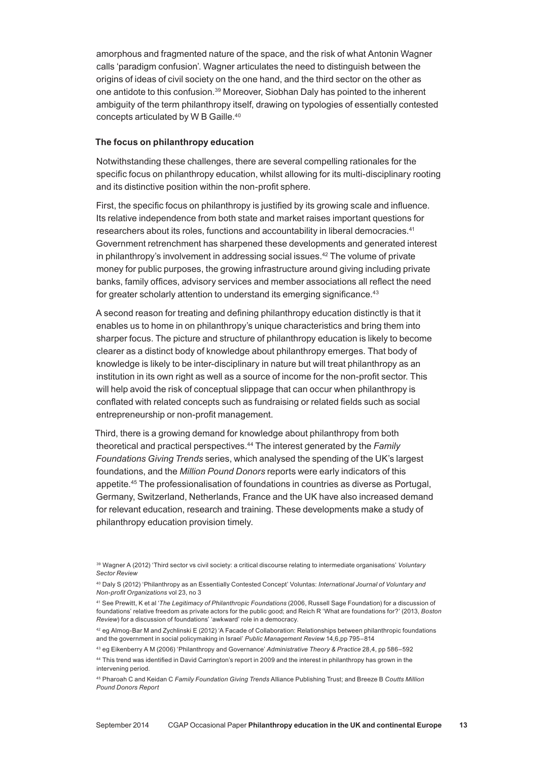amorphous and fragmented nature of the space, and the risk of what Antonin Wagner calls 'paradigm confusion'. Wagner articulates the need to distinguish between the origins of ideas of civil society on the one hand, and the third sector on the other as one antidote to this confusion.39 Moreover, Siobhan Daly has pointed to the inherent ambiguity of the term philanthropy itself, drawing on typologies of essentially contested concepts articulated by W B Gaille.40

#### **The focus on philanthropy education**

Notwithstanding these challenges, there are several compelling rationales for the specific focus on philanthropy education, whilst allowing for its multi‑disciplinary rooting and its distinctive position within the non‑profit sphere.

First, the specific focus on philanthropy is justified by its growing scale and influence. Its relative independence from both state and market raises important questions for researchers about its roles, functions and accountability in liberal democracies.41 Government retrenchment has sharpened these developments and generated interest in philanthropy's involvement in addressing social issues. $42$  The volume of private money for public purposes, the growing infrastructure around giving including private banks, family offices, advisory services and member associations all reflect the need for greater scholarly attention to understand its emerging significance.<sup>43</sup>

A second reason for treating and defining philanthropy education distinctly is that it enables us to home in on philanthropy's unique characteristics and bring them into sharper focus. The picture and structure of philanthropy education is likely to become clearer as a distinct body of knowledge about philanthropy emerges. That body of knowledge is likely to be inter-disciplinary in nature but will treat philanthropy as an institution in its own right as well as a source of income for the non-profit sector. This will help avoid the risk of conceptual slippage that can occur when philanthropy is conflated with related concepts such as fundraising or related fields such as social entrepreneurship or non‑profit management.

Third, there is a growing demand for knowledge about philanthropy from both theoretical and practical perspectives.44 The interest generated by the *Family Foundations Giving Trends* series, which analysed the spending of the UK's largest foundations, and the *Million Pound Donors* reports were early indicators of this appetite.45 The professionalisation of foundations in countries as diverse as Portugal, Germany, Switzerland, Netherlands, France and the UK have also increased demand for relevant education, research and training. These developments make a study of philanthropy education provision timely.

intervening period.

<sup>39</sup> Wagner A (2012) 'Third sector vs civil society: a critical discourse relating to intermediate organisations' *Voluntary Sector Review*

<sup>40</sup> Daly S (2012) 'Philanthropy as an Essentially Contested Concept' Voluntas: *International Journal of Voluntary and Non‑profit Organizations* vol 23, no 3

<sup>41</sup> See Prewitt, K et al '*The Legitimacy of Philanthropic Foundations* (2006, Russell Sage Foundation) for a discussion of foundations' relative freedom as private actors for the public good; and Reich R 'What are foundations for?' (2013, *Boston Review*) for a discussion of foundations' 'awkward' role in a democracy.

<sup>42</sup> eg Almog‑Bar M and Zychlinski E (2012) 'A Facade of Collaboration: Relationships between philanthropic foundations and the government in social policymaking in Israel' *Public Management Review* 14,6,pp 795–814

<sup>43</sup> eg Eikenberry A M (2006) 'Philanthropy and Governance' *Administrative Theory & Practice* 28,4, pp 586–592 <sup>44</sup> This trend was identified in David Carrington's report in 2009 and the interest in philanthropy has grown in the

<sup>45</sup> Pharoah C and Keidan C *Family Foundation Giving Trends* Alliance Publishing Trust; and Breeze B *Coutts Million Pound Donors Report*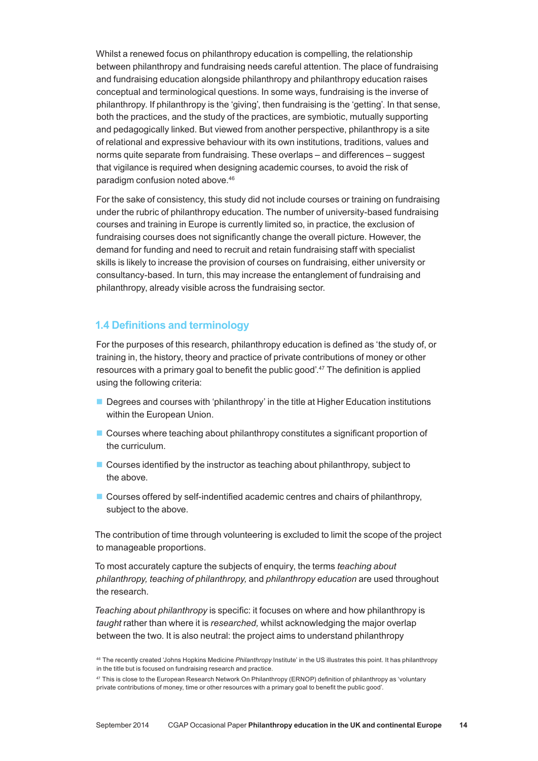Whilst a renewed focus on philanthropy education is compelling, the relationship between philanthropy and fundraising needs careful attention. The place of fundraising and fundraising education alongside philanthropy and philanthropy education raises conceptual and terminological questions. In some ways, fundraising is the inverse of philanthropy. If philanthropy is the 'giving', then fundraising is the 'getting'. In that sense, both the practices, and the study of the practices, are symbiotic, mutually supporting and pedagogically linked. But viewed from another perspective, philanthropy is a site of relational and expressive behaviour with its own institutions, traditions, values and norms quite separate from fundraising. These overlaps – and differences – suggest that vigilance is required when designing academic courses, to avoid the risk of paradigm confusion noted above.46

For the sake of consistency, this study did not include courses or training on fundraising under the rubric of philanthropy education. The number of university‑based fundraising courses and training in Europe is currently limited so, in practice, the exclusion of fundraising courses does not significantly change the overall picture. However, the demand for funding and need to recruit and retain fundraising staff with specialist skills is likely to increase the provision of courses on fundraising, either university or consultancy‑based. In turn, this may increase the entanglement of fundraising and philanthropy, already visible across the fundraising sector.

# **1.4 Definitions and terminology**

For the purposes of this research, philanthropy education is defined as 'the study of, or training in, the history, theory and practice of private contributions of money or other resources with a primary goal to benefit the public good'.<sup>47</sup> The definition is applied using the following criteria:

- **Degrees and courses with 'philanthropy' in the title at Higher Education institutions** within the European Union.
- Courses where teaching about philanthropy constitutes a significant proportion of the curriculum.
- Courses identified by the instructor as teaching about philanthropy, subject to the above.
- Courses offered by self-indentified academic centres and chairs of philanthropy, subject to the above.

The contribution of time through volunteering is excluded to limit the scope of the project to manageable proportions.

To most accurately capture the subjects of enquiry, the terms *teaching about philanthropy, teaching of philanthropy,* and *philanthropy education* are used throughout the research.

*Teaching about philanthropy* is specific: it focuses on where and how philanthropy is *taught* rather than where it is *researched,* whilst acknowledging the major overlap between the two. It is also neutral: the project aims to understand philanthropy

<sup>46</sup> The recently created 'Johns Hopkins Medicine *Philanthropy* Institute' in the US illustrates this point. It has philanthropy in the title but is focused on fundraising research and practice.

<sup>&</sup>lt;sup>47</sup> This is close to the European Research Network On Philanthropy (ERNOP) definition of philanthropy as 'voluntary private contributions of money, time or other resources with a primary goal to benefit the public good'.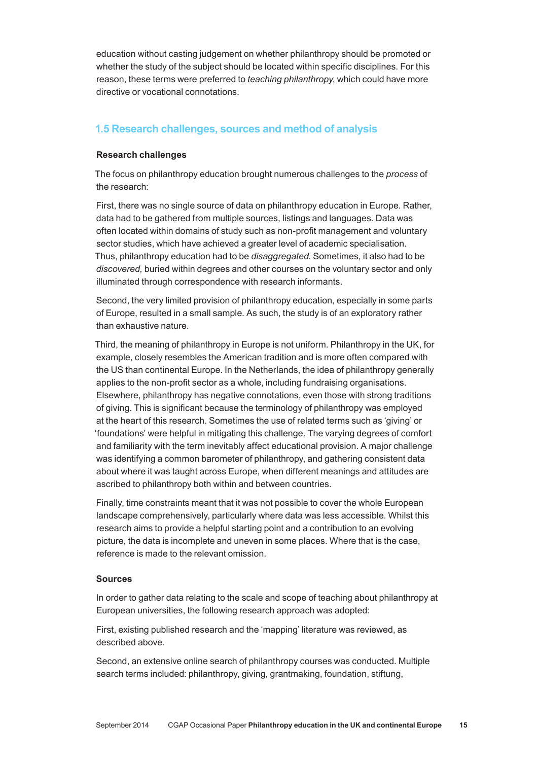education without casting judgement on whether philanthropy should be promoted or whether the study of the subject should be located within specific disciplines. For this reason, these terms were preferred to *teaching philanthropy*, which could have more directive or vocational connotations.

# **1.5 Research challenges, sources and method of analysis**

# **Research challenges**

The focus on philanthropy education brought numerous challenges to the *process* of the research:

First, there was no single source of data on philanthropy education in Europe. Rather, data had to be gathered from multiple sources, listings and languages. Data was often located within domains of study such as non‑profit management and voluntary sector studies, which have achieved a greater level of academic specialisation. Thus, philanthropy education had to be *disaggregated*. Sometimes, it also had to be *discovered,* buried within degrees and other courses on the voluntary sector and only illuminated through correspondence with research informants.

Second, the very limited provision of philanthropy education, especially in some parts of Europe, resulted in a small sample. As such, the study is of an exploratory rather than exhaustive nature.

Third, the meaning of philanthropy in Europe is not uniform. Philanthropy in the UK, for example, closely resembles the American tradition and is more often compared with the US than continental Europe. In the Netherlands, the idea of philanthropy generally applies to the non‑profit sector as a whole, including fundraising organisations. Elsewhere, philanthropy has negative connotations, even those with strong traditions of giving. This is significant because the terminology of philanthropy was employed at the heart of this research. Sometimes the use of related terms such as 'giving' or 'foundations' were helpful in mitigating this challenge. The varying degrees of comfort and familiarity with the term inevitably affect educational provision. A major challenge was identifying a common barometer of philanthropy, and gathering consistent data about where it was taught across Europe, when different meanings and attitudes are ascribed to philanthropy both within and between countries.

Finally, time constraints meant that it was not possible to cover the whole European landscape comprehensively, particularly where data was less accessible. Whilst this research aims to provide a helpful starting point and a contribution to an evolving picture, the data is incomplete and uneven in some places. Where that is the case, reference is made to the relevant omission.

# **Sources**

In order to gather data relating to the scale and scope of teaching about philanthropy at European universities, the following research approach was adopted:

First, existing published research and the 'mapping' literature was reviewed, as described above.

Second, an extensive online search of philanthropy courses was conducted. Multiple search terms included: philanthropy, giving, grantmaking, foundation, stiftung,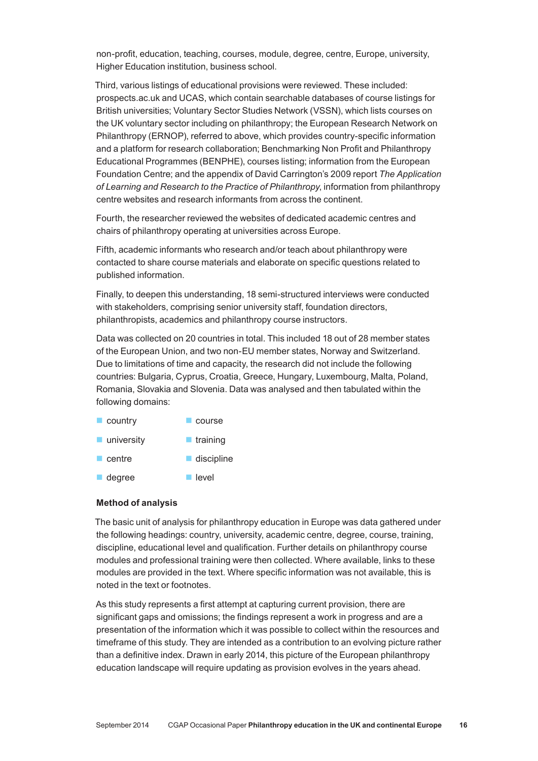non‑profit, education, teaching, courses, module, degree, centre, Europe, university, Higher Education institution, business school.

Third, various listings of educational provisions were reviewed. These included: prospects.ac.uk and UCAS, which contain searchable databases of course listings for British universities; Voluntary Sector Studies Network (VSSN), which lists courses on the UK voluntary sector including on philanthropy; the European Research Network on Philanthropy (ERNOP), referred to above, which provides country‑specific information and a platform for research collaboration; Benchmarking Non Profit and Philanthropy Educational Programmes (BENPHE), courses listing; information from the European Foundation Centre; and the appendix of David Carrington's 2009 report *The Application of Learning and Research to the Practice of Philanthropy*, information from philanthropy centre websites and research informants from across the continent.

Fourth, the researcher reviewed the websites of dedicated academic centres and chairs of philanthropy operating at universities across Europe.

Fifth, academic informants who research and/or teach about philanthropy were contacted to share course materials and elaborate on specific questions related to published information.

Finally, to deepen this understanding, 18 semi‑structured interviews were conducted with stakeholders, comprising senior university staff, foundation directors, philanthropists, academics and philanthropy course instructors.

Data was collected on 20 countries in total. This included 18 out of 28 member states of the European Union, and two non‑EU member states, Norway and Switzerland. Due to limitations of time and capacity, the research did not include the following countries: Bulgaria, Cyprus, Croatia, Greece, Hungary, Luxembourg, Malta, Poland, Romania, Slovakia and Slovenia. Data was analysed and then tabulated within the following domains:

- country course
- university  $\blacksquare$  training
- $\blacksquare$  centre ■ discipline
- degree  $\blacksquare$  level

## **Method of analysis**

The basic unit of analysis for philanthropy education in Europe was data gathered under the following headings: country, university, academic centre, degree, course, training, discipline, educational level and qualification. Further details on philanthropy course modules and professional training were then collected. Where available, links to these modules are provided in the text. Where specific information was not available, this is noted in the text or footnotes.

As this study represents a first attempt at capturing current provision, there are significant gaps and omissions; the findings represent a work in progress and are a presentation of the information which it was possible to collect within the resources and timeframe of this study. They are intended as a contribution to an evolving picture rather than a definitive index. Drawn in early 2014, this picture of the European philanthropy education landscape will require updating as provision evolves in the years ahead.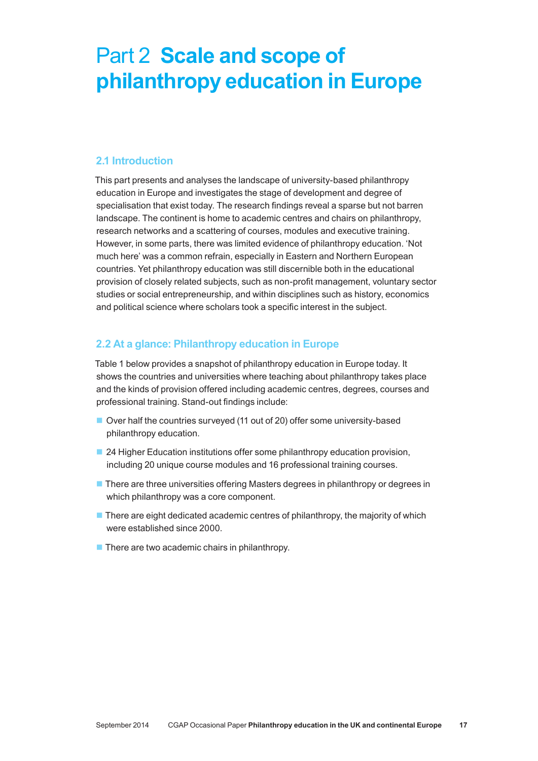# Part 2 **Scale and scope of philanthropy education in Europe**

# **2.1 Introduction**

This part presents and analyses the landscape of university‑based philanthropy education in Europe and investigates the stage of development and degree of specialisation that exist today. The research findings reveal a sparse but not barren landscape. The continent is home to academic centres and chairs on philanthropy, research networks and a scattering of courses, modules and executive training. However, in some parts, there was limited evidence of philanthropy education. 'Not much here' was a common refrain, especially in Eastern and Northern European countries. Yet philanthropy education was still discernible both in the educational provision of closely related subjects, such as non‑profit management, voluntary sector studies or social entrepreneurship, and within disciplines such as history, economics and political science where scholars took a specific interest in the subject.

# **2.2 At a glance: Philanthropy education in Europe**

Table 1 below provides a snapshot of philanthropy education in Europe today. It shows the countries and universities where teaching about philanthropy takes place and the kinds of provision offered including academic centres, degrees, courses and professional training. Stand‑out findings include:

- Over half the countries surveyed (11 out of 20) offer some university-based philanthropy education.
- 24 Higher Education institutions offer some philanthropy education provision, including 20 unique course modules and 16 professional training courses.
- **There are three universities offering Masters degrees in philanthropy or degrees in** which philanthropy was a core component.
- $\blacksquare$  There are eight dedicated academic centres of philanthropy, the majority of which were established since 2000.
- $\blacksquare$  There are two academic chairs in philanthropy.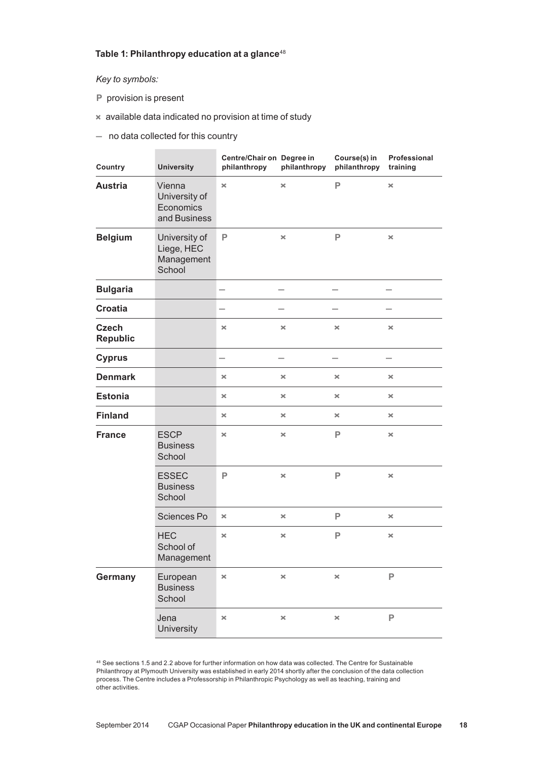### **Table 1: Philanthropy education at a glance**<sup>48</sup>

### *Key to symbols:*

- **P** provision is present
- **×** available data indicated no provision at time of study
- **–** no data collected for this country

| Country                         | <b>University</b>                                    | Centre/Chair on Degree in<br>philanthropy | philanthropy          | Course(s) in<br>philanthropy | Professional<br>training |
|---------------------------------|------------------------------------------------------|-------------------------------------------|-----------------------|------------------------------|--------------------------|
| <b>Austria</b>                  | Vienna<br>University of<br>Economics<br>and Business | $\boldsymbol{\times}$                     | $\boldsymbol{\times}$ | P                            | $\times$                 |
| <b>Belgium</b>                  | University of<br>Liege, HEC<br>Management<br>School  | P                                         | ×                     | P                            | $\times$                 |
| <b>Bulgaria</b>                 |                                                      |                                           |                       |                              |                          |
| <b>Croatia</b>                  |                                                      | $\overline{\phantom{a}}$                  |                       |                              |                          |
| <b>Czech</b><br><b>Republic</b> |                                                      | ×                                         | ×                     | ×                            | $\times$                 |
| <b>Cyprus</b>                   |                                                      | -                                         |                       | $\overline{\phantom{0}}$     |                          |
| <b>Denmark</b>                  |                                                      | $\boldsymbol{\times}$                     | ×                     | ×                            | ×                        |
| <b>Estonia</b>                  |                                                      | $\boldsymbol{\times}$                     | ×                     | ×                            | ×                        |
| <b>Finland</b>                  |                                                      | $\boldsymbol{\times}$                     | ×                     | ×                            | ×                        |
| <b>France</b>                   | <b>ESCP</b><br><b>Business</b><br>School             | ×                                         | ×                     | P                            | ×                        |
|                                 | <b>ESSEC</b><br><b>Business</b><br>School            | P                                         | ×                     | P                            | ×                        |
|                                 | Sciences Po                                          | ×                                         | ×                     | P                            | ×                        |
|                                 | <b>HEC</b><br>School of<br>Management                | ×                                         | ×                     | P                            | ×                        |
| Germany                         | European<br><b>Business</b><br>School                | ×                                         | ×                     | ×                            | P                        |
|                                 | Jena<br>University                                   | $\!\times\!$                              | ×                     | ×                            | $\mathsf{P}$             |

<sup>48</sup> See sections 1.5 and 2.2 above for further information on how data was collected. The Centre for Sustainable Philanthropy at Plymouth University was established in early 2014 shortly after the conclusion of the data collection process. The Centre includes a Professorship in Philanthropic Psychology as well as teaching, training and other activities.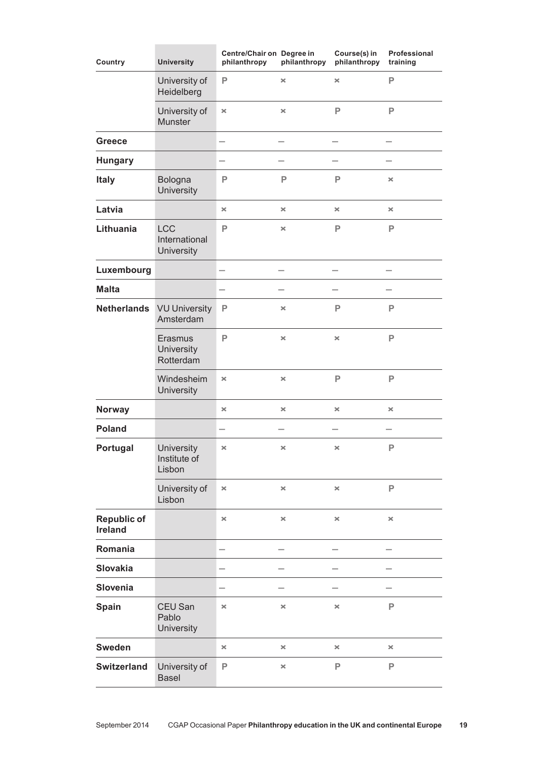| Country                              | <b>University</b>                                | Centre/Chair on Degree in<br>philanthropy | philanthropy   | Course(s) in<br>philanthropy | Professional<br>training |
|--------------------------------------|--------------------------------------------------|-------------------------------------------|----------------|------------------------------|--------------------------|
|                                      | University of<br>Heidelberg                      | P                                         | ×              | $\boldsymbol{\times}$        | P                        |
|                                      | University of<br><b>Munster</b>                  | $\pmb{\times}$                            | ×              | P                            | P                        |
| <b>Greece</b>                        |                                                  | -                                         |                |                              |                          |
| <b>Hungary</b>                       |                                                  | $\overline{\phantom{0}}$                  |                |                              |                          |
| <b>Italy</b>                         | Bologna<br>University                            | P                                         | P              | P                            | $\times$                 |
| Latvia                               |                                                  | ×                                         | $\pmb{\times}$ | $\pmb{\times}$               | $\pmb{\times}$           |
| Lithuania                            | <b>LCC</b><br>International<br><b>University</b> | P                                         | ×              | P                            | P                        |
| Luxembourg                           |                                                  |                                           |                |                              |                          |
| <b>Malta</b>                         |                                                  |                                           |                |                              |                          |
| <b>Netherlands</b>                   | <b>VU University</b><br>Amsterdam                | P                                         | ×              | P                            | P                        |
|                                      | Erasmus<br>University<br>Rotterdam               | P                                         | ×              | $\pmb{\times}$               | P                        |
|                                      | Windesheim<br>University                         | $\boldsymbol{\times}$                     | ×              | P                            | P                        |
| <b>Norway</b>                        |                                                  | ×                                         | ×              | $\boldsymbol{\times}$        | ×                        |
| <b>Poland</b>                        |                                                  | $\overline{\phantom{0}}$                  |                |                              |                          |
| Portugal                             | University<br>Institute of<br>Lisbon             | ×                                         | ×              | $\times$                     | $\mathsf{P}$             |
|                                      | University of<br>Lisbon                          | $\boldsymbol{\times}$                     | $\pmb{\times}$ | $\pmb{\times}$               | P                        |
| <b>Republic of</b><br><b>Ireland</b> |                                                  | ×                                         | ×              | $\pmb{\times}$               | $\pmb{\times}$           |
| Romania                              |                                                  |                                           |                |                              |                          |
| <b>Slovakia</b>                      |                                                  |                                           |                |                              |                          |
| Slovenia                             |                                                  |                                           |                |                              |                          |
| Spain                                | CEU San<br>Pablo<br><b>University</b>            | ×                                         | ×              | $\times$                     | P                        |
| <b>Sweden</b>                        |                                                  | ×                                         | ×              | ×                            | ×                        |
| <b>Switzerland</b>                   | University of<br><b>Basel</b>                    | P                                         | ×              | P                            | P                        |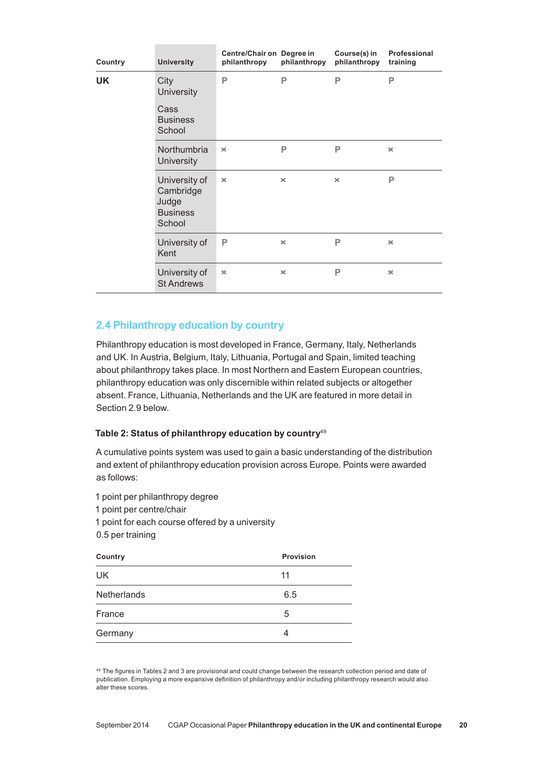| Country   | <b>University</b>                                                | Centre/Chair on Degree in<br>philanthropy | philanthropy          | Course(s) in<br>philanthropy | Professional<br>training |
|-----------|------------------------------------------------------------------|-------------------------------------------|-----------------------|------------------------------|--------------------------|
| <b>UK</b> | City<br><b>University</b>                                        | P                                         | P                     | P                            | P                        |
|           | Cass<br><b>Business</b><br>School                                |                                           |                       |                              |                          |
|           | <b>Northumbria</b><br><b>University</b>                          | $\times$                                  | P                     | P                            | $\times$                 |
|           | University of<br>Cambridge<br>Judge<br><b>Business</b><br>School | $\pmb{\times}$                            | $\boldsymbol{\times}$ | $\boldsymbol{\times}$        | P                        |
|           | University of<br>Kent                                            | P                                         | $\boldsymbol{\times}$ | P                            | $\times$                 |
|           | University of<br><b>St Andrews</b>                               | $\boldsymbol{\times}$                     | $\boldsymbol{\times}$ | P                            | $\times$                 |

# **2.4 Philanthropy education by country**

Philanthropy education is most developed in France, Germany, Italy, Netherlands and UK. In Austria, Belgium, Italy, Lithuania, Portugal and Spain, limited teaching about philanthropy takes place. In most Northern and Eastern European countries, philanthropy education was only discernible within related subjects or altogether absent. France, Lithuania, Netherlands and the UK are featured in more detail in Section 2.9 below.

# **Table 2: Status of philanthropy education by country**<sup>49</sup>

A cumulative points system was used to gain a basic understanding of the distribution and extent of philanthropy education provision across Europe. Points were awarded as follows:

1 point per philanthropy degree 1 point per centre/chair 1 point for each course offered by a university 0.5 per training

| Country            | <b>Provision</b> |
|--------------------|------------------|
| UK                 | 11               |
| <b>Netherlands</b> | 6.5              |
| France             | 5                |
| Germany            |                  |

<sup>49</sup> The figures in Tables 2 and 3 are provisional and could change between the research collection period and date of publication. Employing a more expansive definition of philanthropy and/or including philanthropy research would also alter these scores.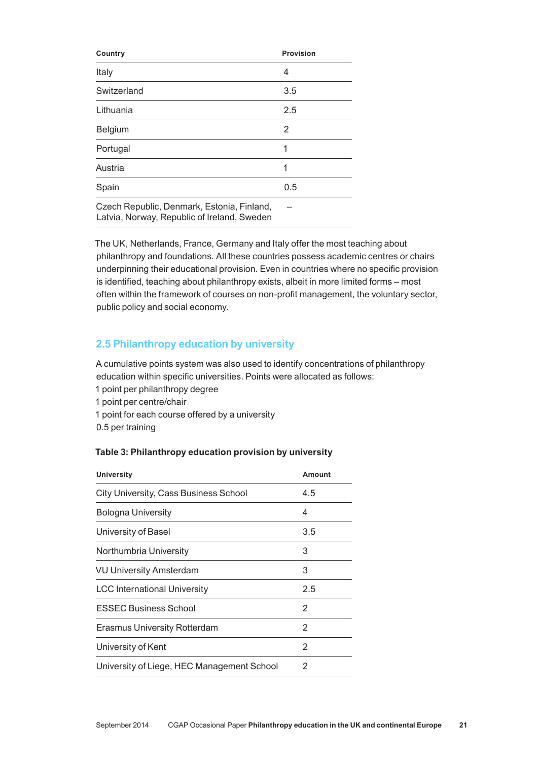| Country                                                                                   | <b>Provision</b> |
|-------------------------------------------------------------------------------------------|------------------|
| Italy                                                                                     | 4                |
| Switzerland                                                                               | 3.5              |
| Lithuania                                                                                 | 2.5              |
| Belgium                                                                                   | 2                |
| Portugal                                                                                  | 1                |
| Austria                                                                                   | 1                |
| Spain                                                                                     | 0.5              |
| Czech Republic, Denmark, Estonia, Finland,<br>Latvia, Norway, Republic of Ireland, Sweden |                  |

The UK, Netherlands, France, Germany and Italy offer the most teaching about philanthropy and foundations. All these countries possess academic centres or chairs underpinning their educational provision. Even in countries where no specific provision is identified, teaching about philanthropy exists, albeit in more limited forms – most often within the framework of courses on non‑profit management, the voluntary sector, public policy and social economy.

# **2.5 Philanthropy education by university**

A cumulative points system was also used to identify concentrations of philanthropy education within specific universities. Points were allocated as follows: 1 point per philanthropy degree 1 point per centre/chair 1 point for each course offered by a university

0.5 per training

# **Table 3: Philanthropy education provision by university**

| 4.5 |
|-----|
| 4   |
| 3.5 |
| 3   |
| 3   |
| 2.5 |
| 2   |
| 2   |
| 2   |
| 2   |
|     |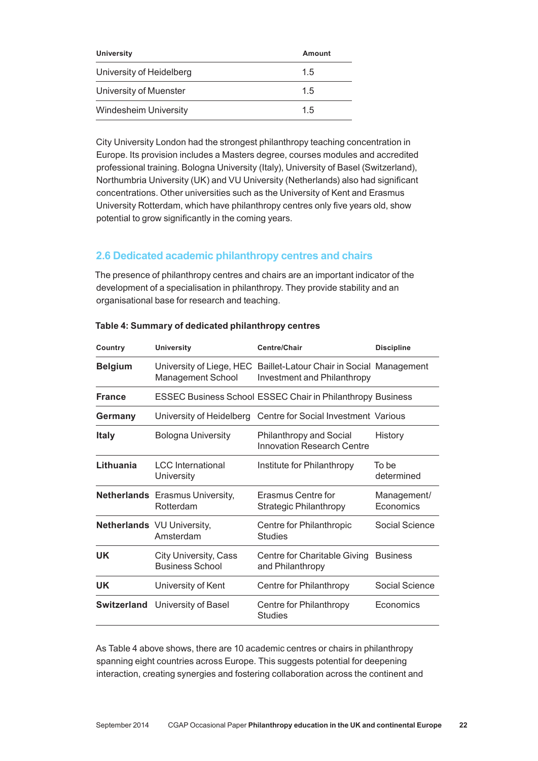| University                   | Amount |
|------------------------------|--------|
| University of Heidelberg     | 1.5    |
| University of Muenster       | 15     |
| <b>Windesheim University</b> | 1.5    |

City University London had the strongest philanthropy teaching concentration in Europe. Its provision includes a Masters degree, courses modules and accredited professional training. Bologna University (Italy), University of Basel (Switzerland), Northumbria University (UK) and VU University (Netherlands) also had significant concentrations. Other universities such as the University of Kent and Erasmus University Rotterdam, which have philanthropy centres only five years old, show potential to grow significantly in the coming years.

# **2.6 Dedicated academic philanthropy centres and chairs**

The presence of philanthropy centres and chairs are an important indicator of the development of a specialisation in philanthropy. They provide stability and an organisational base for research and teaching.

| Country        | <b>University</b>                                      | Centre/Chair                                                                                      | <b>Discipline</b>        |
|----------------|--------------------------------------------------------|---------------------------------------------------------------------------------------------------|--------------------------|
| <b>Belgium</b> | <b>Management School</b>                               | University of Liege, HEC Baillet-Latour Chair in Social Management<br>Investment and Philanthropy |                          |
| <b>France</b>  |                                                        | <b>ESSEC Business School ESSEC Chair in Philanthropy Business</b>                                 |                          |
| Germany        | University of Heidelberg                               | Centre for Social Investment Various                                                              |                          |
| <b>Italy</b>   | <b>Bologna University</b>                              | <b>Philanthropy and Social</b><br>Innovation Research Centre                                      | History                  |
| Lithuania      | <b>LCC</b> International<br>University                 | Institute for Philanthropy                                                                        | To be<br>determined      |
|                | <b>Netherlands</b> Erasmus University,<br>Rotterdam    | Erasmus Centre for<br><b>Strategic Philanthropy</b>                                               | Management/<br>Economics |
|                | <b>Netherlands</b> VU University,<br>Amsterdam         | Centre for Philanthropic<br><b>Studies</b>                                                        | Social Science           |
| UK             | <b>City University, Cass</b><br><b>Business School</b> | Centre for Charitable Giving<br>and Philanthropy                                                  | <b>Business</b>          |
| UK             | University of Kent                                     | Centre for Philanthropy                                                                           | Social Science           |
|                | <b>Switzerland</b> University of Basel                 | Centre for Philanthropy<br><b>Studies</b>                                                         | Economics                |
|                |                                                        |                                                                                                   |                          |

### **Table 4: Summary of dedicated philanthropy centres**

As Table 4 above shows, there are 10 academic centres or chairs in philanthropy spanning eight countries across Europe. This suggests potential for deepening interaction, creating synergies and fostering collaboration across the continent and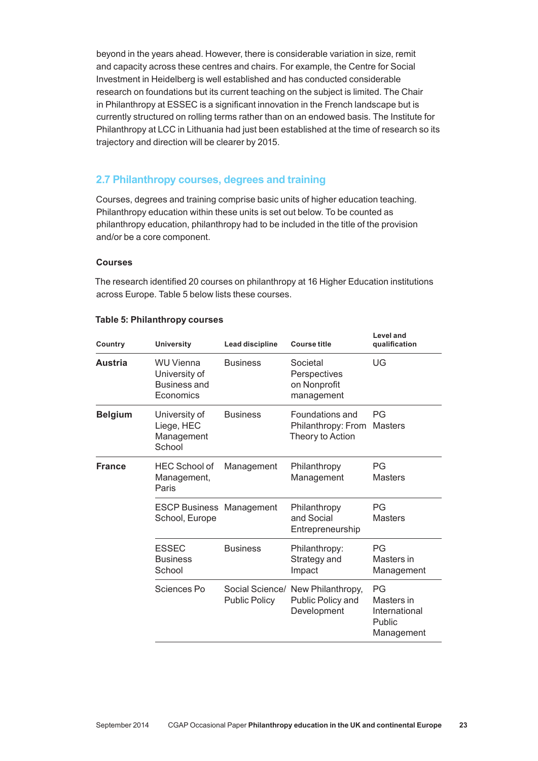beyond in the years ahead. However, there is considerable variation in size, remit and capacity across these centres and chairs. For example, the Centre for Social Investment in Heidelberg is well established and has conducted considerable research on foundations but its current teaching on the subject is limited. The Chair in Philanthropy at ESSEC is a significant innovation in the French landscape but is currently structured on rolling terms rather than on an endowed basis. The Institute for Philanthropy at LCC in Lithuania had just been established at the time of research so its trajectory and direction will be clearer by 2015.

# **2.7 Philanthropy courses, degrees and training**

Courses, degrees and training comprise basic units of higher education teaching. Philanthropy education within these units is set out below. To be counted as philanthropy education, philanthropy had to be included in the title of the provision and/or be a core component.

# **Courses**

The research identified 20 courses on philanthropy at 16 Higher Education institutions across Europe. Table 5 below lists these courses.

| Country        | <b>University</b>                                                     | Lead discipline      | <b>Course title</b>                                                   | <b>Level and</b><br>qualification                         |
|----------------|-----------------------------------------------------------------------|----------------------|-----------------------------------------------------------------------|-----------------------------------------------------------|
| <b>Austria</b> | <b>WU Vienna</b><br>University of<br><b>Business and</b><br>Economics | <b>Business</b>      | Societal<br>Perspectives<br>on Nonprofit<br>management                | UG                                                        |
| <b>Belgium</b> | University of<br>Liege, HEC<br>Management<br>School                   | <b>Business</b>      | Foundations and<br>Philanthropy: From<br>Theory to Action             | PG<br><b>Masters</b>                                      |
| <b>France</b>  | <b>HEC School of</b><br>Management,<br>Paris                          | Management           | Philanthropy<br>Management                                            | PG<br><b>Masters</b>                                      |
|                | <b>ESCP Business</b><br>School, Europe                                | Management           | Philanthropy<br>and Social<br>Entrepreneurship                        | PG<br><b>Masters</b>                                      |
|                | <b>ESSEC</b><br><b>Business</b><br>School                             | <b>Business</b>      | Philanthropy:<br>Strategy and<br>Impact                               | PG<br>Masters in<br>Management                            |
|                | Sciences Po                                                           | <b>Public Policy</b> | Social Science/ New Philanthropy,<br>Public Policy and<br>Development | PG<br>Masters in<br>International<br>Public<br>Management |

#### **Table 5: Philanthropy courses**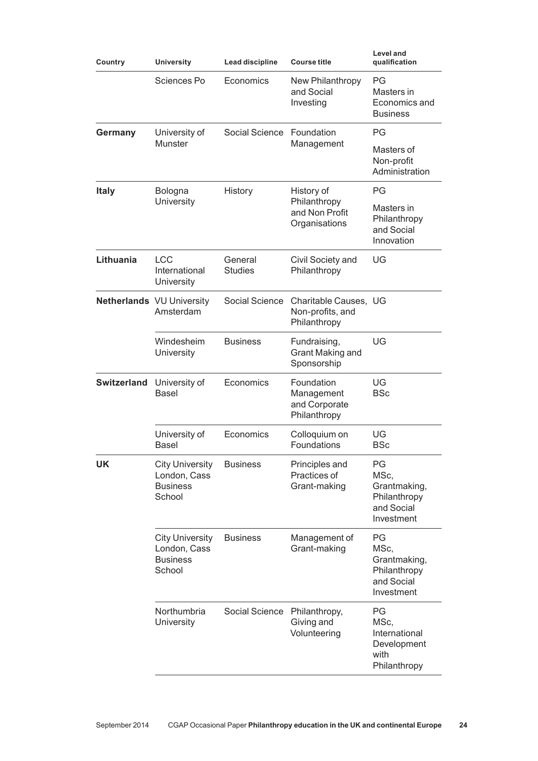| Country            | <b>University</b><br>Lead discipline                                |                           | <b>Course title</b>                                       | <b>Level and</b><br>qualification                                      |
|--------------------|---------------------------------------------------------------------|---------------------------|-----------------------------------------------------------|------------------------------------------------------------------------|
|                    | Sciences Po                                                         | Economics                 | New Philanthropy<br>and Social<br>Investing               | PG<br>Masters in<br>Economics and<br><b>Business</b>                   |
| Germany            | University of                                                       | Social Science            | Foundation                                                | ΡG                                                                     |
|                    | <b>Munster</b>                                                      |                           | Management                                                | Masters of<br>Non-profit<br>Administration                             |
| <b>Italy</b>       | Bologna                                                             | History                   | History of                                                | PG                                                                     |
|                    | <b>University</b>                                                   |                           | Philanthropy<br>and Non Profit<br>Organisations           | Masters in<br>Philanthropy<br>and Social<br>Innovation                 |
| Lithuania          | <b>LCC</b><br>International<br><b>University</b>                    | General<br><b>Studies</b> | Civil Society and<br>Philanthropy                         | UG                                                                     |
|                    | <b>Netherlands</b> VU University<br>Amsterdam                       | Social Science            | Charitable Causes, UG<br>Non-profits, and<br>Philanthropy |                                                                        |
|                    | Windesheim<br>University                                            | <b>Business</b>           | Fundraising,<br>Grant Making and<br>Sponsorship           | UG                                                                     |
| <b>Switzerland</b> | University of<br><b>Basel</b>                                       | Economics                 | Foundation<br>Management<br>and Corporate<br>Philanthropy | UG<br><b>BSc</b>                                                       |
|                    | University of<br><b>Basel</b>                                       | Economics                 | Colloquium on<br>Foundations                              | UG<br><b>BSc</b>                                                       |
| UK                 | <b>City University</b><br>London, Cass<br><b>Business</b><br>School | <b>Business</b>           | Principles and<br>Practices of<br>Grant-making            | PG<br>MSc,<br>Grantmaking,<br>Philanthropy<br>and Social<br>Investment |
|                    | <b>City University</b><br>London, Cass<br><b>Business</b><br>School | <b>Business</b>           | Management of<br>Grant-making                             | PG<br>MSc,<br>Grantmaking,<br>Philanthropy<br>and Social<br>Investment |
|                    | Northumbria<br><b>University</b>                                    | Social Science            | Philanthropy,<br>Giving and<br>Volunteering               | PG<br>MSc,<br>International<br>Development<br>with<br>Philanthropy     |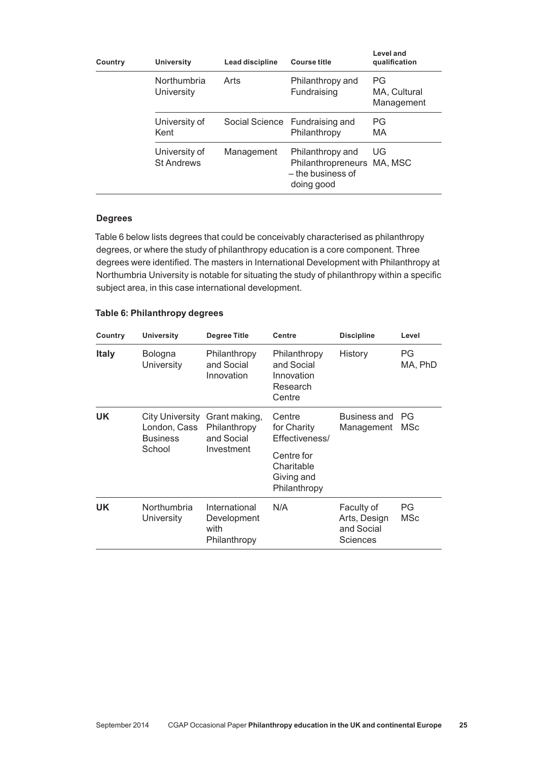| Country | <b>University</b>                  | <b>Lead discipline</b> | <b>Course title</b>                                                               | Level and<br>qualification       |
|---------|------------------------------------|------------------------|-----------------------------------------------------------------------------------|----------------------------------|
|         | Northumbria<br><b>University</b>   | Arts                   | Philanthropy and<br>Fundraising                                                   | PG<br>MA, Cultural<br>Management |
|         | University of<br>Kent              |                        | Social Science Fundraising and<br>Philanthropy                                    | <b>PG</b><br>MA                  |
|         | University of<br><b>St Andrews</b> | Management             | Philanthropy and<br>Philanthropreneurs MA, MSC<br>- the business of<br>doing good | UG                               |

#### **Degrees**

Table 6 below lists degrees that could be conceivably characterised as philanthropy degrees, or where the study of philanthropy education is a core component. Three degrees were identified. The masters in International Development with Philanthropy at Northumbria University is notable for situating the study of philanthropy within a specific subject area, in this case international development.

| Country      | <b>University</b>                                                   | Degree Title                                              | <b>Centre</b>                                                  | <b>Discipline</b>                                    | Level         |
|--------------|---------------------------------------------------------------------|-----------------------------------------------------------|----------------------------------------------------------------|------------------------------------------------------|---------------|
| <b>Italy</b> | <b>Bologna</b><br><b>University</b>                                 | Philanthropy<br>and Social<br>Innovation                  | Philanthropy<br>and Social<br>Innovation<br>Research<br>Centre | History                                              | PG<br>MA, PhD |
| UK.          | <b>City University</b><br>London, Cass<br><b>Business</b><br>School | Grant making,<br>Philanthropy<br>and Social<br>Investment | Centre<br>for Charity<br>Effectiveness/                        | <b>Business and</b><br>Management                    | РG<br>MSc     |
|              |                                                                     |                                                           | Centre for<br>Charitable<br>Giving and<br>Philanthropy         |                                                      |               |
| UK.          | Northumbria<br>University                                           | International<br>Development<br>with<br>Philanthropy      | N/A                                                            | Faculty of<br>Arts, Design<br>and Social<br>Sciences | PG<br>MSc     |

#### **Table 6: Philanthropy degrees**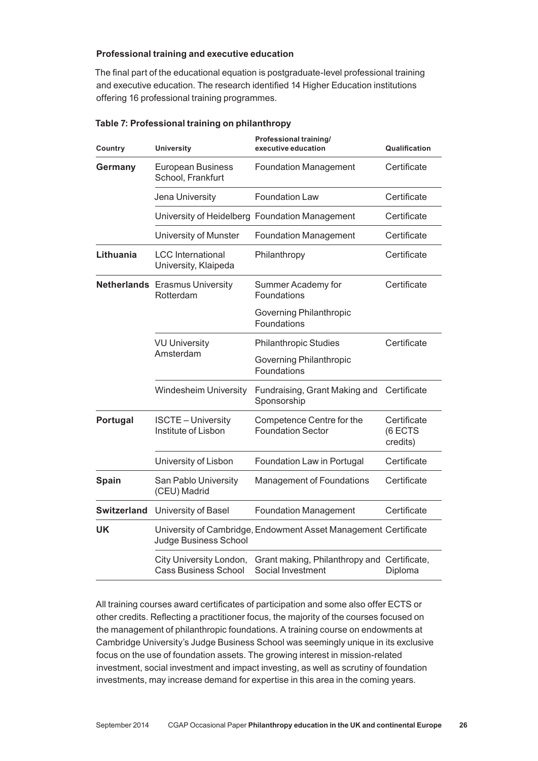## **Professional training and executive education**

The final part of the educational equation is postgraduate‑level professional training and executive education. The research identified 14 Higher Education institutions offering 16 professional training programmes.

| Country            | <b>University</b>                                      | Professional training/<br>executive education                    | Qualification                      |
|--------------------|--------------------------------------------------------|------------------------------------------------------------------|------------------------------------|
| Germany            | <b>European Business</b><br>School, Frankfurt          | <b>Foundation Management</b>                                     | Certificate                        |
|                    | Jena University                                        | <b>Foundation Law</b>                                            | Certificate                        |
|                    |                                                        | University of Heidelberg Foundation Management                   | Certificate                        |
|                    | University of Munster                                  | <b>Foundation Management</b>                                     | Certificate                        |
| Lithuania          | <b>LCC</b> International<br>University, Klaipeda       | Philanthropy                                                     | Certificate                        |
|                    | <b>Netherlands</b> Erasmus University<br>Rotterdam     | Summer Academy for<br>Foundations                                | Certificate                        |
|                    |                                                        | Governing Philanthropic<br>Foundations                           |                                    |
|                    | <b>VU University</b><br>Amsterdam                      | <b>Philanthropic Studies</b>                                     | Certificate                        |
|                    |                                                        | Governing Philanthropic<br>Foundations                           |                                    |
|                    | Windesheim University                                  | Fundraising, Grant Making and<br>Sponsorship                     | Certificate                        |
| Portugal           | <b>ISCTE - University</b><br>Institute of Lisbon       | Competence Centre for the<br><b>Foundation Sector</b>            | Certificate<br>(6 ECTS<br>credits) |
|                    | University of Lisbon                                   | Foundation Law in Portugal                                       | Certificate                        |
| <b>Spain</b>       | San Pablo University<br>(CEU) Madrid                   | <b>Management of Foundations</b>                                 | Certificate                        |
| <b>Switzerland</b> | University of Basel                                    | <b>Foundation Management</b>                                     | Certificate                        |
| UK                 | Judge Business School                                  | University of Cambridge, Endowment Asset Management Certificate  |                                    |
|                    | City University London,<br><b>Cass Business School</b> | Grant making, Philanthropy and Certificate,<br>Social Investment | Diploma                            |

#### **Table 7: Professional training on philanthropy**

All training courses award certificates of participation and some also offer ECTS or other credits. Reflecting a practitioner focus, the majority of the courses focused on the management of philanthropic foundations. A training course on endowments at Cambridge University's Judge Business School was seemingly unique in its exclusive focus on the use of foundation assets. The growing interest in mission-related investment, social investment and impact investing, as well as scrutiny of foundation investments, may increase demand for expertise in this area in the coming years.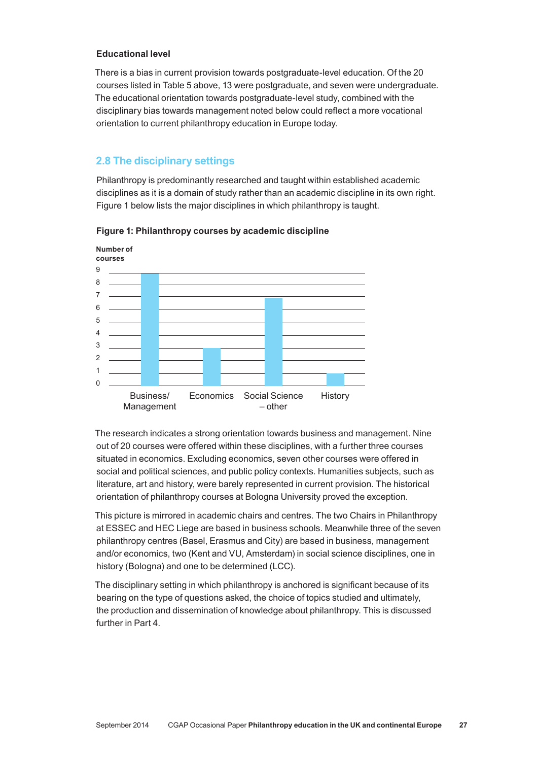# **Educational level**

There is a bias in current provision towards postgraduate-level education. Of the 20 courses listed in Table 5 above, 13 were postgraduate, and seven were undergraduate. The educational orientation towards postgraduate‑level study, combined with the disciplinary bias towards management noted below could reflect a more vocational orientation to current philanthropy education in Europe today.

# **2.8 The disciplinary settings**

Philanthropy is predominantly researched and taught within established academic disciplines as it is a domain of study rather than an academic discipline in its own right. Figure 1 below lists the major disciplines in which philanthropy is taught.





The research indicates a strong orientation towards business and management. Nine out of 20 courses were offered within these disciplines, with a further three courses situated in economics. Excluding economics, seven other courses were offered in social and political sciences, and public policy contexts. Humanities subjects, such as literature, art and history, were barely represented in current provision. The historical orientation of philanthropy courses at Bologna University proved the exception.

This picture is mirrored in academic chairs and centres. The two Chairs in Philanthropy at ESSEC and HEC Liege are based in business schools. Meanwhile three of the seven philanthropy centres (Basel, Erasmus and City) are based in business, management and/or economics, two (Kent and VU, Amsterdam) in social science disciplines, one in history (Bologna) and one to be determined (LCC).

The disciplinary setting in which philanthropy is anchored is significant because of its bearing on the type of questions asked, the choice of topics studied and ultimately, the production and dissemination of knowledge about philanthropy. This is discussed further in Part 4.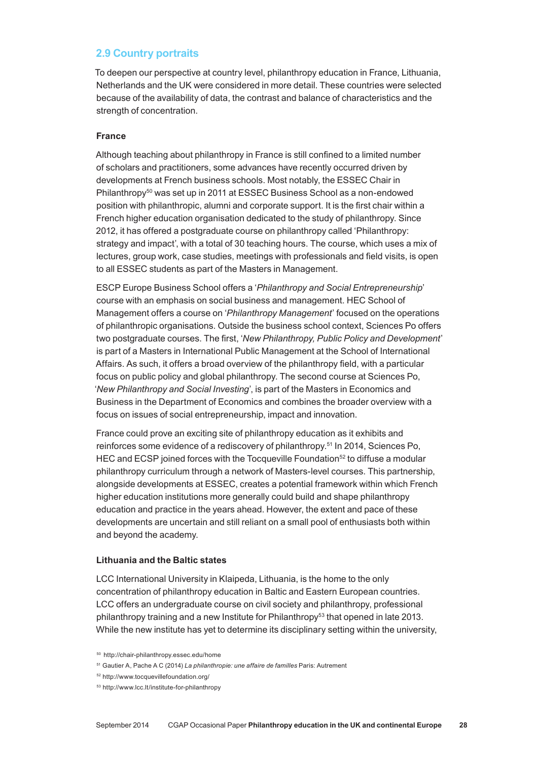# **2.9 Country portraits**

To deepen our perspective at country level, philanthropy education in France, Lithuania, Netherlands and the UK were considered in more detail. These countries were selected because of the availability of data, the contrast and balance of characteristics and the strength of concentration.

#### **France**

Although teaching about philanthropy in France is still confined to a limited number of scholars and practitioners, some advances have recently occurred driven by developments at French business schools. Most notably, the ESSEC Chair in Philanthropy<sup>50</sup> was set up in 2011 at ESSEC Business School as a non-endowed position with philanthropic, alumni and corporate support. It is the first chair within a French higher education organisation dedicated to the study of philanthropy. Since 2012, it has offered a postgraduate course on philanthropy called 'Philanthropy: strategy and impact', with a total of 30 teaching hours. The course, which uses a mix of lectures, group work, case studies, meetings with professionals and field visits, is open to all ESSEC students as part of the Masters in Management.

ESCP Europe Business School offers a '*Philanthropy and Social Entrepreneurship*' course with an emphasis on social business and management. HEC School of Management offers a course on '*Philanthropy Management*' focused on the operations of philanthropic organisations. Outside the business school context, Sciences Po offers two postgraduate courses. The first, '*New Philanthropy, Public Policy and Development*' is part of a Masters in International Public Management at the School of International Affairs. As such, it offers a broad overview of the philanthropy field, with a particular focus on public policy and global philanthropy. The second course at Sciences Po, '*New Philanthropy and Social Investing*', is part of the Masters in Economics and Business in the Department of Economics and combines the broader overview with a focus on issues of social entrepreneurship, impact and innovation.

France could prove an exciting site of philanthropy education as it exhibits and reinforces some evidence of a rediscovery of philanthropy.51 In 2014, Sciences Po, HEC and ECSP joined forces with the Tocqueville Foundation<sup>52</sup> to diffuse a modular philanthropy curriculum through a network of Masters‑level courses. This partnership, alongside developments at ESSEC, creates a potential framework within which French higher education institutions more generally could build and shape philanthropy education and practice in the years ahead. However, the extent and pace of these developments are uncertain and still reliant on a small pool of enthusiasts both within and beyond the academy.

#### **Lithuania and the Baltic states**

LCC International University in Klaipeda, Lithuania, is the home to the only concentration of philanthropy education in Baltic and Eastern European countries. LCC offers an undergraduate course on civil society and philanthropy, professional philanthropy training and a new Institute for Philanthropy<sup>53</sup> that opened in late 2013. While the new institute has yet to determine its disciplinary setting within the university,

<sup>50</sup> http://chair‑philanthropy.essec.edu/home

<sup>51</sup> Gautier A, Pache A C (2014) *La philanthropie: une affaire de familles* Paris: Autrement

<sup>52</sup> http://www.tocquevillefoundation.org/

<sup>53</sup> http://www.lcc.lt/institute-for-philanthropy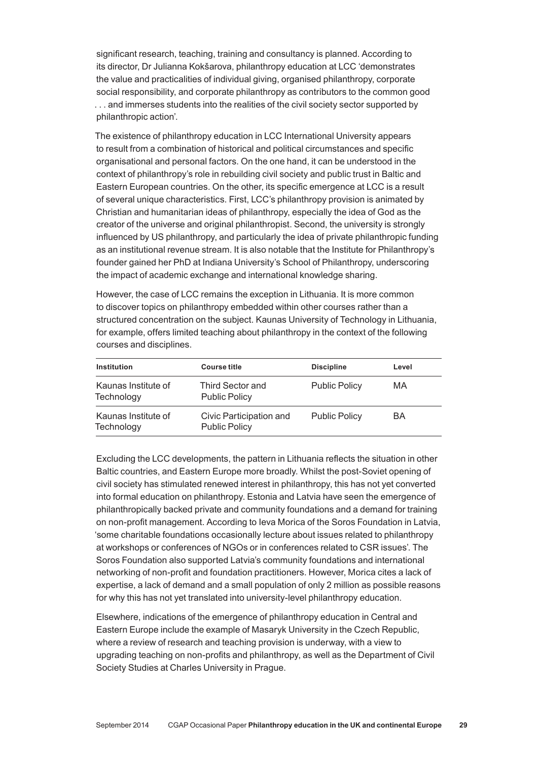significant research, teaching, training and consultancy is planned. According to its director, Dr Julianna Kokšarova, philanthropy education at LCC 'demonstrates the value and practicalities of individual giving, organised philanthropy, corporate social responsibility, and corporate philanthropy as contributors to the common good ... and immerses students into the realities of the civil society sector supported by philanthropic action'.

The existence of philanthropy education in LCC International University appears to result from a combination of historical and political circumstances and specific organisational and personal factors. On the one hand, it can be understood in the context of philanthropy's role in rebuilding civil society and public trust in Baltic and Eastern European countries. On the other, its specific emergence at LCC is a result of several unique characteristics. First, LCC's philanthropy provision is animated by Christian and humanitarian ideas of philanthropy, especially the idea of God as the creator of the universe and original philanthropist. Second, the university is strongly influenced by US philanthropy, and particularly the idea of private philanthropic funding as an institutional revenue stream. It is also notable that the Institute for Philanthropy's founder gained her PhD at Indiana University's School of Philanthropy, underscoring the impact of academic exchange and international knowledge sharing.

However, the case of LCC remains the exception in Lithuania. It is more common to discover topics on philanthropy embedded within other courses rather than a structured concentration on the subject. Kaunas University of Technology in Lithuania, for example, offers limited teaching about philanthropy in the context of the following courses and disciplines.

| Institution                       | <b>Course title</b>                             | <b>Discipline</b>    | Level |
|-----------------------------------|-------------------------------------------------|----------------------|-------|
| Kaunas Institute of<br>Technology | <b>Third Sector and</b><br><b>Public Policy</b> | <b>Public Policy</b> | MA    |
| Kaunas Institute of<br>Technology | Civic Participation and<br><b>Public Policy</b> | <b>Public Policy</b> | BA    |

Excluding the LCC developments, the pattern in Lithuania reflects the situation in other Baltic countries, and Eastern Europe more broadly. Whilst the post‑Soviet opening of civil society has stimulated renewed interest in philanthropy, this has not yet converted into formal education on philanthropy. Estonia and Latvia have seen the emergence of philanthropically backed private and community foundations and a demand for training on non‑profit management. According to Ieva Morica of the Soros Foundation in Latvia, 'some charitable foundations occasionally lecture about issues related to philanthropy at workshops or conferences of NGOs or in conferences related to CSR issues'. The Soros Foundation also supported Latvia's community foundations and international networking of non‑profit and foundation practitioners. However, Morica cites a lack of expertise, a lack of demand and a small population of only 2 million as possible reasons for why this has not yet translated into university-level philanthropy education.

Elsewhere, indications of the emergence of philanthropy education in Central and Eastern Europe include the example of Masaryk University in the Czech Republic, where a review of research and teaching provision is underway, with a view to upgrading teaching on non‑profits and philanthropy, as well as the Department of Civil Society Studies at Charles University in Prague.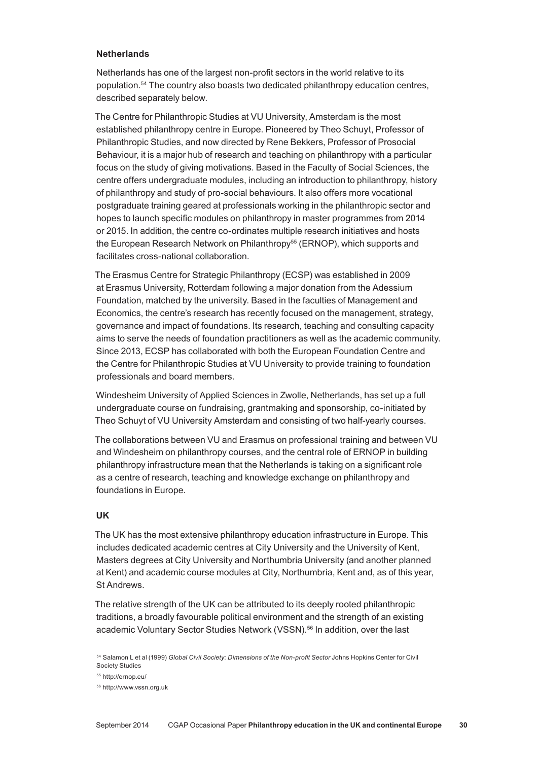### **Netherlands**

Netherlands has one of the largest non‑profit sectors in the world relative to its population.54 The country also boasts two dedicated philanthropy education centres, described separately below.

The Centre for Philanthropic Studies at VU University, Amsterdam is the most established philanthropy centre in Europe. Pioneered by Theo Schuyt, Professor of Philanthropic Studies, and now directed by Rene Bekkers, Professor of Prosocial Behaviour, it is a major hub of research and teaching on philanthropy with a particular focus on the study of giving motivations. Based in the Faculty of Social Sciences, the centre offers undergraduate modules, including an introduction to philanthropy, history of philanthropy and study of pro‑social behaviours. It also offers more vocational postgraduate training geared at professionals working in the philanthropic sector and hopes to launch specific modules on philanthropy in master programmes from 2014 or 2015. In addition, the centre co‑ordinates multiple research initiatives and hosts the European Research Network on Philanthropy<sup>55</sup> (ERNOP), which supports and facilitates cross‑national collaboration.

The Erasmus Centre for Strategic Philanthropy (ECSP) was established in 2009 at Erasmus University, Rotterdam following a major donation from the Adessium Foundation, matched by the university. Based in the faculties of Management and Economics, the centre's research has recently focused on the management, strategy, governance and impact of foundations. Its research, teaching and consulting capacity aims to serve the needs of foundation practitioners as well as the academic community. Since 2013, ECSP has collaborated with both the European Foundation Centre and the Centre for Philanthropic Studies at VU University to provide training to foundation professionals and board members.

Windesheim University of Applied Sciences in Zwolle, Netherlands, has set up a full undergraduate course on fundraising, grantmaking and sponsorship, co‑initiated by Theo Schuyt of VU University Amsterdam and consisting of two half-yearly courses.

The collaborations between VU and Erasmus on professional training and between VU and Windesheim on philanthropy courses, and the central role of ERNOP in building philanthropy infrastructure mean that the Netherlands is taking on a significant role as a centre of research, teaching and knowledge exchange on philanthropy and foundations in Europe.

#### **UK**

The UK has the most extensive philanthropy education infrastructure in Europe. This includes dedicated academic centres at City University and the University of Kent, Masters degrees at City University and Northumbria University (and another planned at Kent) and academic course modules at City, Northumbria, Kent and, as of this year, St Andrews.

The relative strength of the UK can be attributed to its deeply rooted philanthropic traditions, a broadly favourable political environment and the strength of an existing academic Voluntary Sector Studies Network (VSSN).56 In addition, over the last

<sup>54</sup> Salamon L et al (1999) *Global Civil Society: Dimensions of the Non‑profit Sector* Johns Hopkins Center for Civil Society Studies

<sup>55</sup> http://ernop.eu/

<sup>56</sup> http://www.vssn.org.uk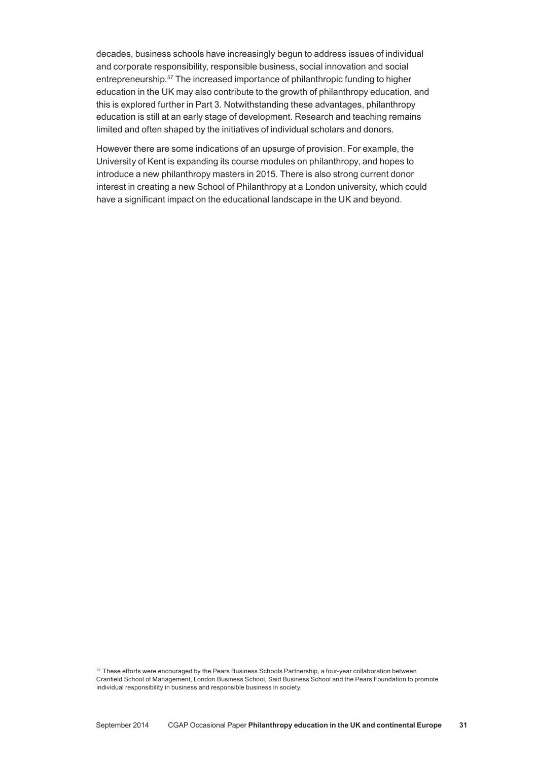decades, business schools have increasingly begun to address issues of individual and corporate responsibility, responsible business, social innovation and social entrepreneurship.57 The increased importance of philanthropic funding to higher education in the UK may also contribute to the growth of philanthropy education, and this is explored further in Part 3. Notwithstanding these advantages, philanthropy education is still at an early stage of development. Research and teaching remains limited and often shaped by the initiatives of individual scholars and donors.

However there are some indications of an upsurge of provision. For example, the University of Kent is expanding its course modules on philanthropy, and hopes to introduce a new philanthropy masters in 2015. There is also strong current donor interest in creating a new School of Philanthropy at a London university, which could have a significant impact on the educational landscape in the UK and beyond.

57 These efforts were encouraged by the Pears Business Schools Partnership, a four-year collaboration between Cranfield School of Management, London Business School, Said Business School and the Pears Foundation to promote individual responsibility in business and responsible business in society.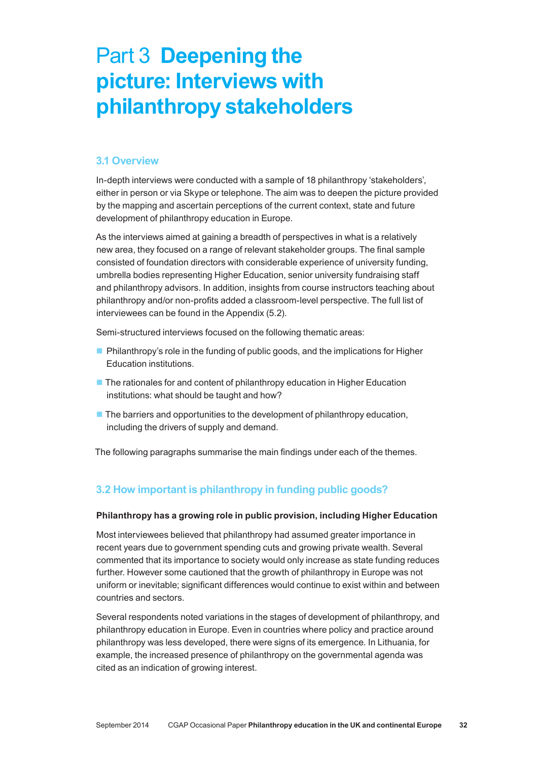# Part 3 **Deepening the picture: Interviews with philanthropy stakeholders**

# **3.1 Overview**

In-depth interviews were conducted with a sample of 18 philanthropy 'stakeholders', either in person or via Skype or telephone. The aim was to deepen the picture provided by the mapping and ascertain perceptions of the current context, state and future development of philanthropy education in Europe.

As the interviews aimed at gaining a breadth of perspectives in what is a relatively new area, they focused on a range of relevant stakeholder groups. The final sample consisted of foundation directors with considerable experience of university funding, umbrella bodies representing Higher Education, senior university fundraising staff and philanthropy advisors. In addition, insights from course instructors teaching about philanthropy and/or non‑profits added a classroom‑level perspective. The full list of interviewees can be found in the Appendix (5.2).

Semi-structured interviews focused on the following thematic areas:

- **Philanthropy's role in the funding of public goods, and the implications for Higher** Education institutions.
- The rationales for and content of philanthropy education in Higher Education institutions: what should be taught and how?
- $\blacksquare$  The barriers and opportunities to the development of philanthropy education, including the drivers of supply and demand.

The following paragraphs summarise the main findings under each of the themes.

# **3.2 How important is philanthropy in funding public goods?**

# **Philanthropy has a growing role in public provision, including Higher Education**

Most interviewees believed that philanthropy had assumed greater importance in recent years due to government spending cuts and growing private wealth. Several commented that its importance to society would only increase as state funding reduces further. However some cautioned that the growth of philanthropy in Europe was not uniform or inevitable; significant differences would continue to exist within and between countries and sectors.

Several respondents noted variations in the stages of development of philanthropy, and philanthropy education in Europe. Even in countries where policy and practice around philanthropy was less developed, there were signs of its emergence. In Lithuania, for example, the increased presence of philanthropy on the governmental agenda was cited as an indication of growing interest.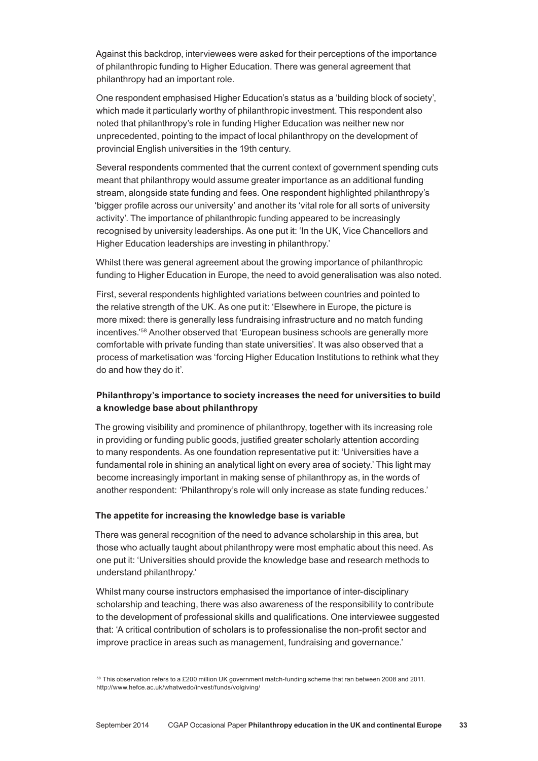Against this backdrop, interviewees were asked for their perceptions of the importance of philanthropic funding to Higher Education. There was general agreement that philanthropy had an important role.

One respondent emphasised Higher Education's status as a 'building block of society', which made it particularly worthy of philanthropic investment. This respondent also noted that philanthropy's role in funding Higher Education was neither new nor unprecedented, pointing to the impact of local philanthropy on the development of provincial English universities in the 19th century.

Several respondents commented that the current context of government spending cuts meant that philanthropy would assume greater importance as an additional funding stream, alongside state funding and fees. One respondent highlighted philanthropy's 'bigger profile across our university' and another its 'vital role for all sorts of university activity'. The importance of philanthropic funding appeared to be increasingly recognised by university leaderships. As one put it: 'In the UK, Vice Chancellors and Higher Education leaderships are investing in philanthropy.'

Whilst there was general agreement about the growing importance of philanthropic funding to Higher Education in Europe, the need to avoid generalisation was also noted.

First, several respondents highlighted variations between countries and pointed to the relative strength of the UK. As one put it: 'Elsewhere in Europe, the picture is more mixed: there is generally less fundraising infrastructure and no match funding incentives.'58 Another observed that 'European business schools are generally more comfortable with private funding than state universities'. It was also observed that a process of marketisation was 'forcing Higher Education Institutions to rethink what they do and how they do it'.

# **Philanthropy's importance to society increases the need for universities to build a knowledge base about philanthropy**

The growing visibility and prominence of philanthropy, together with its increasing role in providing or funding public goods, justified greater scholarly attention according to many respondents. As one foundation representative put it: 'Universities have a fundamental role in shining an analytical light on every area of society.' This light may become increasingly important in making sense of philanthropy as, in the words of another respondent: *'*Philanthropy's role will only increase as state funding reduces.'

#### **The appetite for increasing the knowledge base is variable**

There was general recognition of the need to advance scholarship in this area, but those who actually taught about philanthropy were most emphatic about this need. As one put it: 'Universities should provide the knowledge base and research methods to understand philanthropy.'

Whilst many course instructors emphasised the importance of inter-disciplinary scholarship and teaching, there was also awareness of the responsibility to contribute to the development of professional skills and qualifications. One interviewee suggested that: 'A critical contribution of scholars is to professionalise the non‑profit sector and improve practice in areas such as management, fundraising and governance.'

<sup>&</sup>lt;sup>58</sup> This observation refers to a £200 million UK government match-funding scheme that ran between 2008 and 2011. http://www.hefce.ac.uk/whatwedo/invest/funds/volgiving/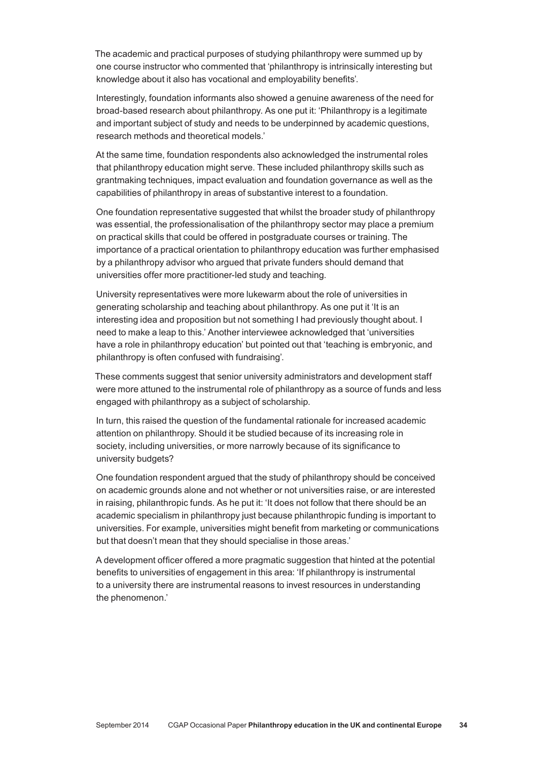The academic and practical purposes of studying philanthropy were summed up by one course instructor who commented that 'philanthropy is intrinsically interesting but knowledge about it also has vocational and employability benefits'.

Interestingly, foundation informants also showed a genuine awareness of the need for broad‑based research about philanthropy. As one put it: 'Philanthropy is a legitimate and important subject of study and needs to be underpinned by academic questions, research methods and theoretical models.'

At the same time, foundation respondents also acknowledged the instrumental roles that philanthropy education might serve. These included philanthropy skills such as grantmaking techniques, impact evaluation and foundation governance as well as the capabilities of philanthropy in areas of substantive interest to a foundation.

One foundation representative suggested that whilst the broader study of philanthropy was essential, the professionalisation of the philanthropy sector may place a premium on practical skills that could be offered in postgraduate courses or training. The importance of a practical orientation to philanthropy education was further emphasised by a philanthropy advisor who argued that private funders should demand that universities offer more practitioner‑led study and teaching*.*

University representatives were more lukewarm about the role of universities in generating scholarship and teaching about philanthropy. As one put it 'It is an interesting idea and proposition but not something I had previously thought about. I need to make a leap to this.' Another interviewee acknowledged that 'universities have a role in philanthropy education' but pointed out that 'teaching is embryonic, and philanthropy is often confused with fundraising'.

These comments suggest that senior university administrators and development staff were more attuned to the instrumental role of philanthropy as a source of funds and less engaged with philanthropy as a subject of scholarship.

In turn, this raised the question of the fundamental rationale for increased academic attention on philanthropy. Should it be studied because of its increasing role in society, including universities, or more narrowly because of its significance to university budgets?

One foundation respondent argued that the study of philanthropy should be conceived on academic grounds alone and not whether or not universities raise, or are interested in raising, philanthropic funds. As he put it: 'It does not follow that there should be an academic specialism in philanthropy just because philanthropic funding is important to universities. For example, universities might benefit from marketing or communications but that doesn't mean that they should specialise in those areas.'

A development officer offered a more pragmatic suggestion that hinted at the potential benefits to universities of engagement in this area: 'If philanthropy is instrumental to a university there are instrumental reasons to invest resources in understanding the phenomenon.'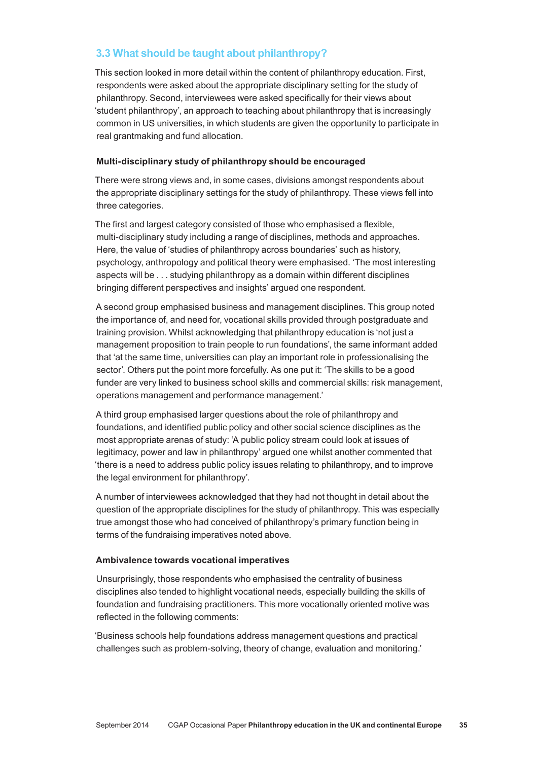# **3.3 What should be taught about philanthropy?**

This section looked in more detail within the content of philanthropy education. First, respondents were asked about the appropriate disciplinary setting for the study of philanthropy. Second, interviewees were asked specifically for their views about 'student philanthropy', an approach to teaching about philanthropy that is increasingly common in US universities, in which students are given the opportunity to participate in real grantmaking and fund allocation.

# **Multi‑disciplinary study of philanthropy should be encouraged**

There were strong views and, in some cases, divisions amongst respondents about the appropriate disciplinary settings for the study of philanthropy. These views fell into three categories.

The first and largest category consisted of those who emphasised a flexible, multi‑disciplinary study including a range of disciplines, methods and approaches. Here, the value of 'studies of philanthropy across boundaries' such as history, psychology, anthropology and political theory were emphasised. 'The most interesting aspects will be . . . studying philanthropy as a domain within different disciplines bringing different perspectives and insights' argued one respondent.

A second group emphasised business and management disciplines. This group noted the importance of, and need for, vocational skills provided through postgraduate and training provision. Whilst acknowledging that philanthropy education is 'not just a management proposition to train people to run foundations', the same informant added that 'at the same time, universities can play an important role in professionalising the sector'. Others put the point more forcefully. As one put it: 'The skills to be a good funder are very linked to business school skills and commercial skills: risk management, operations management and performance management.'

A third group emphasised larger questions about the role of philanthropy and foundations, and identified public policy and other social science disciplines as the most appropriate arenas of study: 'A public policy stream could look at issues of legitimacy, power and law in philanthropy' argued one whilst another commented that 'there is a need to address public policy issues relating to philanthropy, and to improve the legal environment for philanthropy'.

A number of interviewees acknowledged that they had not thought in detail about the question of the appropriate disciplines for the study of philanthropy. This was especially true amongst those who had conceived of philanthropy's primary function being in terms of the fundraising imperatives noted above.

# **Ambivalence towards vocational imperatives**

Unsurprisingly, those respondents who emphasised the centrality of business disciplines also tended to highlight vocational needs, especially building the skills of foundation and fundraising practitioners. This more vocationally oriented motive was reflected in the following comments:

'Business schools help foundations address management questions and practical challenges such as problem‑solving, theory of change, evaluation and monitoring.'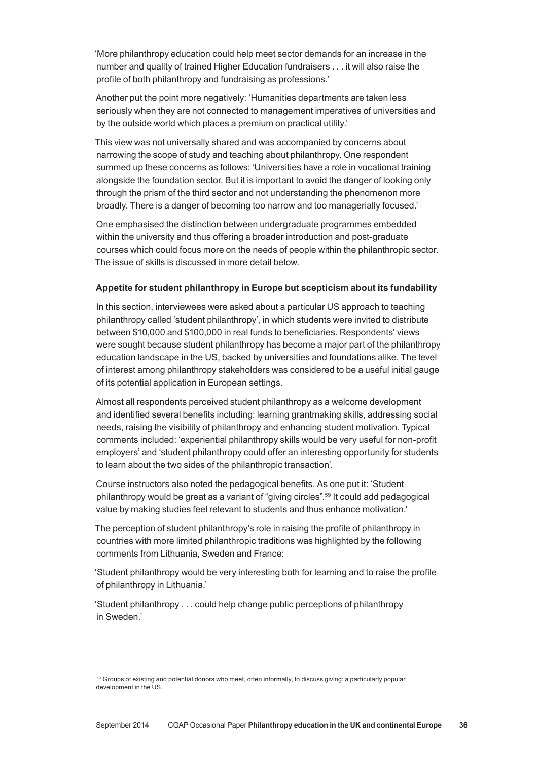'More philanthropy education could help meet sector demands for an increase in the number and quality of trained Higher Education fundraisers . . . it will also raise the profile of both philanthropy and fundraising as professions.'

Another put the point more negatively: 'Humanities departments are taken less seriously when they are not connected to management imperatives of universities and by the outside world which places a premium on practical utility.'

This view was not universally shared and was accompanied by concerns about narrowing the scope of study and teaching about philanthropy. One respondent summed up these concerns as follows: 'Universities have a role in vocational training alongside the foundation sector. But it is important to avoid the danger of looking only through the prism of the third sector and not understanding the phenomenon more broadly. There is a danger of becoming too narrow and too managerially focused.'

One emphasised the distinction between undergraduate programmes embedded within the university and thus offering a broader introduction and post-graduate courses which could focus more on the needs of people within the philanthropic sector. The issue of skills is discussed in more detail below.

#### **Appetite for student philanthropy in Europe but scepticism about its fundability**

In this section, interviewees were asked about a particular US approach to teaching philanthropy called 'student philanthropy', in which students were invited to distribute between \$10,000 and \$100,000 in real funds to beneficiaries. Respondents' views were sought because student philanthropy has become a major part of the philanthropy education landscape in the US, backed by universities and foundations alike. The level of interest among philanthropy stakeholders was considered to be a useful initial gauge of its potential application in European settings.

Almost all respondents perceived student philanthropy as a welcome development and identified several benefits including: learning grantmaking skills, addressing social needs, raising the visibility of philanthropy and enhancing student motivation. Typical comments included: 'experiential philanthropy skills would be very useful for non-profit employers' and 'student philanthropy could offer an interesting opportunity for students to learn about the two sides of the philanthropic transaction'.

Course instructors also noted the pedagogical benefits. As one put it: 'Student philanthropy would be great as a variant of "giving circles".59 It could add pedagogical value by making studies feel relevant to students and thus enhance motivation.'

The perception of student philanthropy's role in raising the profile of philanthropy in countries with more limited philanthropic traditions was highlighted by the following comments from Lithuania, Sweden and France:

'Student philanthropy would be very interesting both for learning and to raise the profile of philanthropy in Lithuania.'

'Student philanthropy . . . could help change public perceptions of philanthropy in Sweden.'

<sup>&</sup>lt;sup>59</sup> Groups of existing and potential donors who meet, often informally, to discuss giving: a particularly popular development in the US.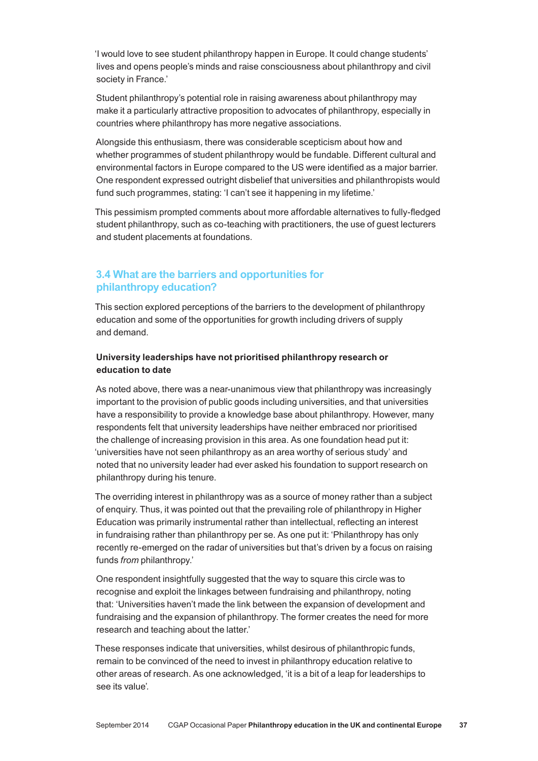'I would love to see student philanthropy happen in Europe. It could change students' lives and opens people's minds and raise consciousness about philanthropy and civil society in France.'

Student philanthropy's potential role in raising awareness about philanthropy may make it a particularly attractive proposition to advocates of philanthropy, especially in countries where philanthropy has more negative associations.

Alongside this enthusiasm, there was considerable scepticism about how and whether programmes of student philanthropy would be fundable. Different cultural and environmental factors in Europe compared to the US were identified as a major barrier. One respondent expressed outright disbelief that universities and philanthropists would fund such programmes, stating: 'I can't see it happening in my lifetime.'

This pessimism prompted comments about more affordable alternatives to fully-fledged student philanthropy, such as co-teaching with practitioners, the use of guest lecturers and student placements at foundations.

# **3.4 What are the barriers and opportunities for philanthropy education?**

This section explored perceptions of the barriers to the development of philanthropy education and some of the opportunities for growth including drivers of supply and demand.

# **University leaderships have not prioritised philanthropy research or education to date**

As noted above, there was a near-unanimous view that philanthropy was increasingly important to the provision of public goods including universities, and that universities have a responsibility to provide a knowledge base about philanthropy. However, many respondents felt that university leaderships have neither embraced nor prioritised the challenge of increasing provision in this area. As one foundation head put it: 'universities have not seen philanthropy as an area worthy of serious study' and noted that no university leader had ever asked his foundation to support research on philanthropy during his tenure.

The overriding interest in philanthropy was as a source of money rather than a subject of enquiry. Thus, it was pointed out that the prevailing role of philanthropy in Higher Education was primarily instrumental rather than intellectual, reflecting an interest in fundraising rather than philanthropy per se. As one put it: 'Philanthropy has only recently re-emerged on the radar of universities but that's driven by a focus on raising funds *from* philanthropy.'

One respondent insightfully suggested that the way to square this circle was to recognise and exploit the linkages between fundraising and philanthropy, noting that: 'Universities haven't made the link between the expansion of development and fundraising and the expansion of philanthropy. The former creates the need for more research and teaching about the latter.'

These responses indicate that universities, whilst desirous of philanthropic funds, remain to be convinced of the need to invest in philanthropy education relative to other areas of research. As one acknowledged, 'it is a bit of a leap for leaderships to see its value'*.*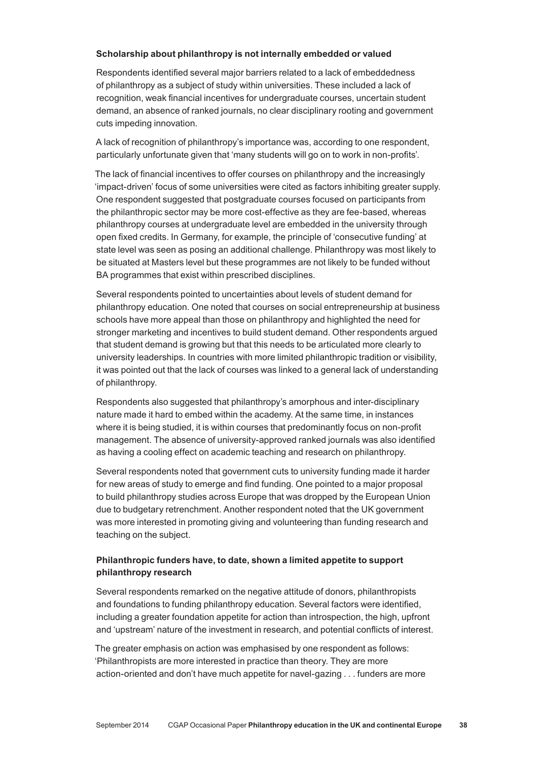#### **Scholarship about philanthropy is not internally embedded or valued**

Respondents identified several major barriers related to a lack of embeddedness of philanthropy as a subject of study within universities. These included a lack of recognition, weak financial incentives for undergraduate courses, uncertain student demand, an absence of ranked journals, no clear disciplinary rooting and government cuts impeding innovation.

A lack of recognition of philanthropy's importance was, according to one respondent, particularly unfortunate given that 'many students will go on to work in non-profits'.

The lack of financial incentives to offer courses on philanthropy and the increasingly 'impact‑driven' focus of some universities were cited as factors inhibiting greater supply. One respondent suggested that postgraduate courses focused on participants from the philanthropic sector may be more cost-effective as they are fee-based, whereas philanthropy courses at undergraduate level are embedded in the university through open fixed credits. In Germany, for example, the principle of 'consecutive funding' at state level was seen as posing an additional challenge. Philanthropy was most likely to be situated at Masters level but these programmes are not likely to be funded without BA programmes that exist within prescribed disciplines.

Several respondents pointed to uncertainties about levels of student demand for philanthropy education. One noted that courses on social entrepreneurship at business schools have more appeal than those on philanthropy and highlighted the need for stronger marketing and incentives to build student demand. Other respondents argued that student demand is growing but that this needs to be articulated more clearly to university leaderships. In countries with more limited philanthropic tradition or visibility, it was pointed out that the lack of courses was linked to a general lack of understanding of philanthropy.

Respondents also suggested that philanthropy's amorphous and inter-disciplinary nature made it hard to embed within the academy. At the same time, in instances where it is being studied, it is within courses that predominantly focus on non-profit management. The absence of university‑approved ranked journals was also identified as having a cooling effect on academic teaching and research on philanthropy.

Several respondents noted that government cuts to university funding made it harder for new areas of study to emerge and find funding. One pointed to a major proposal to build philanthropy studies across Europe that was dropped by the European Union due to budgetary retrenchment. Another respondent noted that the UK government was more interested in promoting giving and volunteering than funding research and teaching on the subject.

# **Philanthropic funders have, to date, shown a limited appetite to support philanthropy research**

Several respondents remarked on the negative attitude of donors, philanthropists and foundations to funding philanthropy education. Several factors were identified, including a greater foundation appetite for action than introspection, the high, upfront and 'upstream' nature of the investment in research, and potential conflicts of interest.

The greater emphasis on action was emphasised by one respondent as follows: 'Philanthropists are more interested in practice than theory. They are more action-oriented and don't have much appetite for navel-gazing . . . funders are more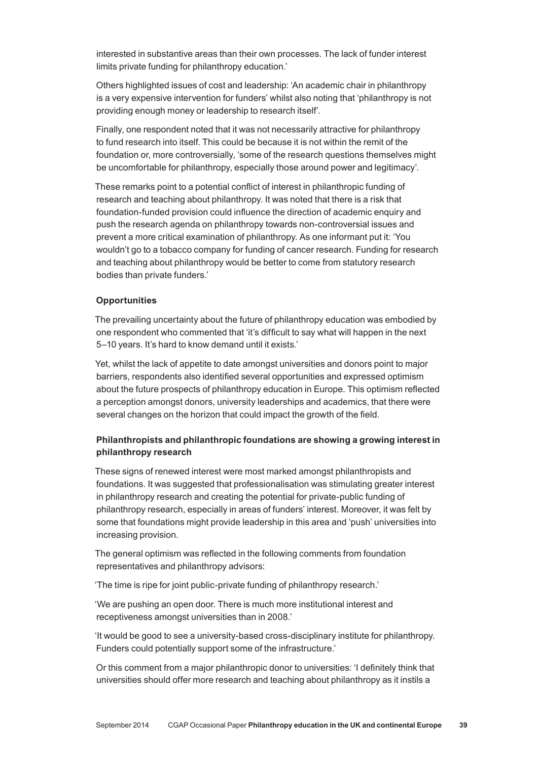interested in substantive areas than their own processes. The lack of funder interest limits private funding for philanthropy education.'

Others highlighted issues of cost and leadership: 'An academic chair in philanthropy is a very expensive intervention for funders' whilst also noting that 'philanthropy is not providing enough money or leadership to research itself'.

Finally, one respondent noted that it was not necessarily attractive for philanthropy to fund research into itself. This could be because it is not within the remit of the foundation or, more controversially, 'some of the research questions themselves might be uncomfortable for philanthropy, especially those around power and legitimacy'.

These remarks point to a potential conflict of interest in philanthropic funding of research and teaching about philanthropy. It was noted that there is a risk that foundation-funded provision could influence the direction of academic enquiry and push the research agenda on philanthropy towards non‑controversial issues and prevent a more critical examination of philanthropy. As one informant put it: 'You wouldn't go to a tobacco company for funding of cancer research. Funding for research and teaching about philanthropy would be better to come from statutory research bodies than private funders.'

### **Opportunities**

The prevailing uncertainty about the future of philanthropy education was embodied by one respondent who commented that 'it's difficult to say what will happen in the next 5–10 years. It's hard to know demand until it exists.'

Yet, whilst the lack of appetite to date amongst universities and donors point to major barriers, respondents also identified several opportunities and expressed optimism about the future prospects of philanthropy education in Europe. This optimism reflected a perception amongst donors, university leaderships and academics, that there were several changes on the horizon that could impact the growth of the field.

# **Philanthropists and philanthropic foundations are showing a growing interest in philanthropy research**

These signs of renewed interest were most marked amongst philanthropists and foundations. It was suggested that professionalisation was stimulating greater interest in philanthropy research and creating the potential for private‑public funding of philanthropy research, especially in areas of funders' interest. Moreover, it was felt by some that foundations might provide leadership in this area and 'push' universities into increasing provision.

The general optimism was reflected in the following comments from foundation representatives and philanthropy advisors:

'The time is ripe for joint public‑private funding of philanthropy research.'

'We are pushing an open door. There is much more institutional interest and receptiveness amongst universities than in 2008.'

'It would be good to see a university‑based cross‑disciplinary institute for philanthropy. Funders could potentially support some of the infrastructure.'

Or this comment from a major philanthropic donor to universities: 'I definitely think that universities should offer more research and teaching about philanthropy as it instils a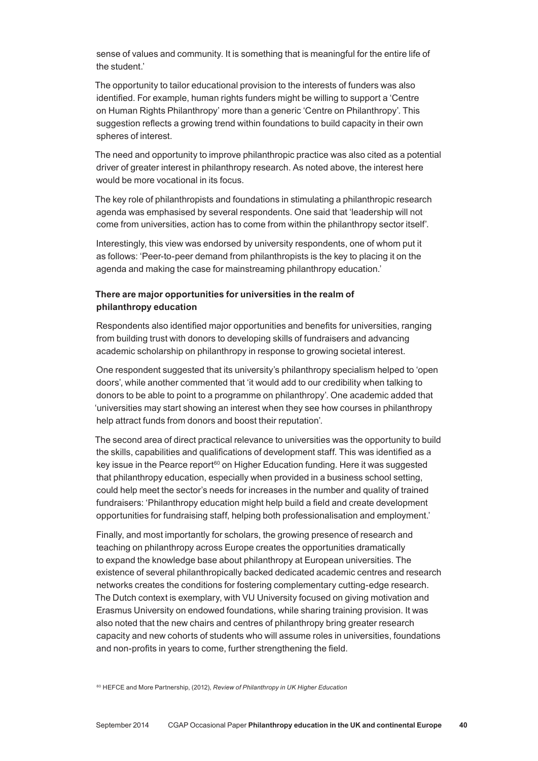sense of values and community. It is something that is meaningful for the entire life of the student.'

The opportunity to tailor educational provision to the interests of funders was also identified. For example, human rights funders might be willing to support a 'Centre on Human Rights Philanthropy' more than a generic 'Centre on Philanthropy'. This suggestion reflects a growing trend within foundations to build capacity in their own spheres of interest.

The need and opportunity to improve philanthropic practice was also cited as a potential driver of greater interest in philanthropy research. As noted above, the interest here would be more vocational in its focus.

The key role of philanthropists and foundations in stimulating a philanthropic research agenda was emphasised by several respondents. One said that 'leadership will not come from universities, action has to come from within the philanthropy sector itself'.

Interestingly, this view was endorsed by university respondents, one of whom put it as follows: 'Peer‑to‑peer demand from philanthropists is the key to placing it on the agenda and making the case for mainstreaming philanthropy education.'

# **There are major opportunities for universities in the realm of philanthropy education**

Respondents also identified major opportunities and benefits for universities, ranging from building trust with donors to developing skills of fundraisers and advancing academic scholarship on philanthropy in response to growing societal interest.

One respondent suggested that its university's philanthropy specialism helped to 'open doors', while another commented that 'it would add to our credibility when talking to donors to be able to point to a programme on philanthropy'. One academic added that 'universities may start showing an interest when they see how courses in philanthropy help attract funds from donors and boost their reputation'.

The second area of direct practical relevance to universities was the opportunity to build the skills, capabilities and qualifications of development staff. This was identified as a key issue in the Pearce report<sup>60</sup> on Higher Education funding. Here it was suggested that philanthropy education, especially when provided in a business school setting, could help meet the sector's needs for increases in the number and quality of trained fundraisers: 'Philanthropy education might help build a field and create development opportunities for fundraising staff, helping both professionalisation and employment.'

Finally, and most importantly for scholars, the growing presence of research and teaching on philanthropy across Europe creates the opportunities dramatically to expand the knowledge base about philanthropy at European universities. The existence of several philanthropically backed dedicated academic centres and research networks creates the conditions for fostering complementary cutting‑edge research. The Dutch context is exemplary, with VU University focused on giving motivation and Erasmus University on endowed foundations, while sharing training provision. It was also noted that the new chairs and centres of philanthropy bring greater research capacity and new cohorts of students who will assume roles in universities, foundations and non‑profits in years to come, further strengthening the field.

<sup>60</sup> HEFCE and More Partnership, (2012), *Review of Philanthropy in UK Higher Education*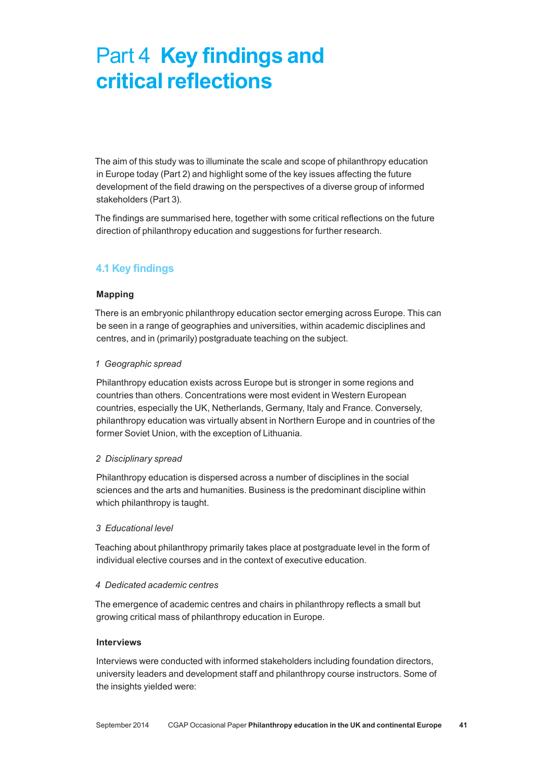# Part 4 **Key findings and critical reflections**

The aim of this study was to illuminate the scale and scope of philanthropy education in Europe today (Part 2) and highlight some of the key issues affecting the future development of the field drawing on the perspectives of a diverse group of informed stakeholders (Part 3).

The findings are summarised here, together with some critical reflections on the future direction of philanthropy education and suggestions for further research.

# **4.1 Key findings**

# **Mapping**

There is an embryonic philanthropy education sector emerging across Europe. This can be seen in a range of geographies and universities, within academic disciplines and centres, and in (primarily) postgraduate teaching on the subject.

# *1 Geographic spread*

Philanthropy education exists across Europe but is stronger in some regions and countries than others. Concentrations were most evident in Western European countries, especially the UK, Netherlands, Germany, Italy and France. Conversely, philanthropy education was virtually absent in Northern Europe and in countries of the former Soviet Union, with the exception of Lithuania.

# *2 Disciplinary spread*

Philanthropy education is dispersed across a number of disciplines in the social sciences and the arts and humanities. Business is the predominant discipline within which philanthropy is taught.

# *3 Educational level*

Teaching about philanthropy primarily takes place at postgraduate level in the form of individual elective courses and in the context of executive education.

# *4 Dedicated academic centres*

The emergence of academic centres and chairs in philanthropy reflects a small but growing critical mass of philanthropy education in Europe.

# **Interviews**

Interviews were conducted with informed stakeholders including foundation directors, university leaders and development staff and philanthropy course instructors. Some of the insights yielded were: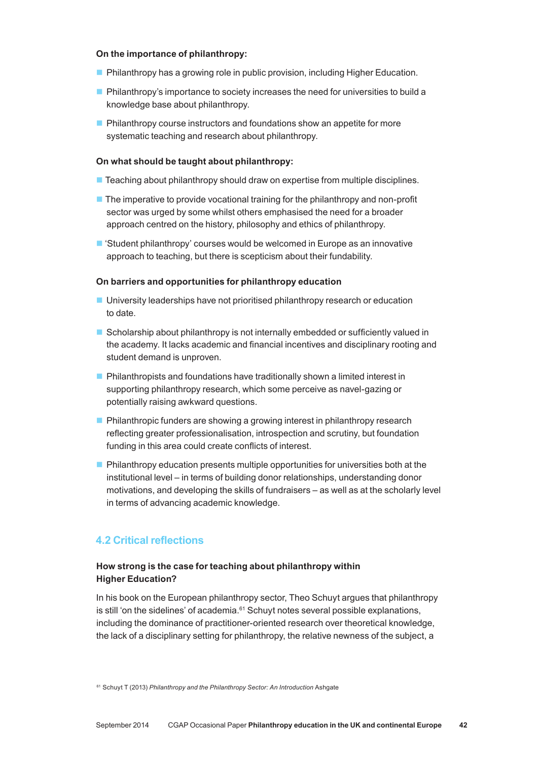#### **On the importance of philanthropy:**

- **Philanthropy has a growing role in public provision, including Higher Education.**
- Philanthropy's importance to society increases the need for universities to build a knowledge base about philanthropy.
- $\blacksquare$  Philanthropy course instructors and foundations show an appetite for more systematic teaching and research about philanthropy.

#### **On what should be taught about philanthropy:**

- $\blacksquare$  Teaching about philanthropy should draw on expertise from multiple disciplines.
- $\blacksquare$  The imperative to provide vocational training for the philanthropy and non-profit sector was urged by some whilst others emphasised the need for a broader approach centred on the history, philosophy and ethics of philanthropy.
- 'Student philanthropy' courses would be welcomed in Europe as an innovative approach to teaching, but there is scepticism about their fundability.

#### **On barriers and opportunities for philanthropy education**

- University leaderships have not prioritised philanthropy research or education to date.
- Scholarship about philanthropy is not internally embedded or sufficiently valued in the academy. It lacks academic and financial incentives and disciplinary rooting and student demand is unproven.
- **Philanthropists and foundations have traditionally shown a limited interest in** supporting philanthropy research, which some perceive as navel-gazing or potentially raising awkward questions.
- **Philanthropic funders are showing a growing interest in philanthropy research** reflecting greater professionalisation, introspection and scrutiny, but foundation funding in this area could create conflicts of interest.
- $\blacksquare$  Philanthropy education presents multiple opportunities for universities both at the institutional level – in terms of building donor relationships, understanding donor motivations, and developing the skills of fundraisers – as well as at the scholarly level in terms of advancing academic knowledge.

### **4.2 Critical reflections**

## **How strong is the case for teaching about philanthropy within Higher Education?**

In his book on the European philanthropy sector, Theo Schuyt argues that philanthropy is still 'on the sidelines' of academia.<sup>61</sup> Schuyt notes several possible explanations, including the dominance of practitioner‑oriented research over theoretical knowledge, the lack of a disciplinary setting for philanthropy, the relative newness of the subject, a

<sup>61</sup> Schuyt T (2013) *Philanthropy and the Philanthropy Sector: An Introduction* Ashgate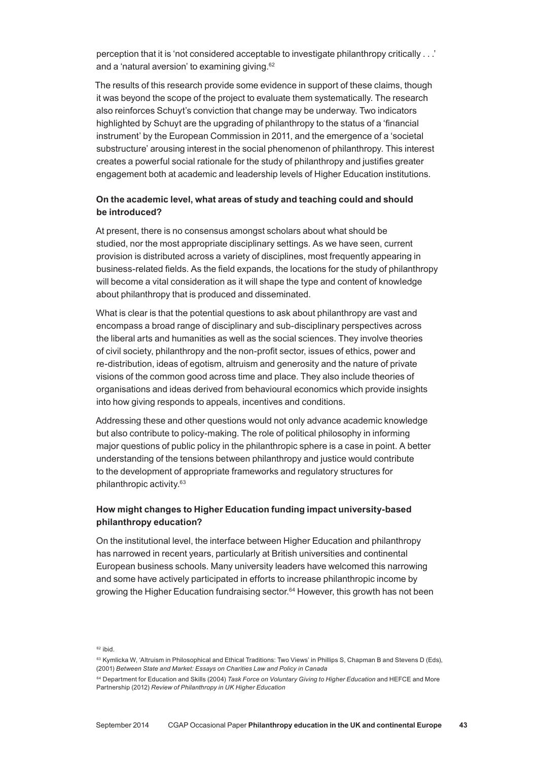perception that it is 'not considered acceptable to investigate philanthropy critically . . .' and a 'natural aversion' to examining giving.62

The results of this research provide some evidence in support of these claims, though it was beyond the scope of the project to evaluate them systematically. The research also reinforces Schuyt's conviction that change may be underway. Two indicators highlighted by Schuyt are the upgrading of philanthropy to the status of a 'financial instrument' by the European Commission in 2011, and the emergence of a 'societal substructure' arousing interest in the social phenomenon of philanthropy. This interest creates a powerful social rationale for the study of philanthropy and justifies greater engagement both at academic and leadership levels of Higher Education institutions.

## **On the academic level, what areas of study and teaching could and should be introduced?**

At present, there is no consensus amongst scholars about what should be studied, nor the most appropriate disciplinary settings. As we have seen, current provision is distributed across a variety of disciplines, most frequently appearing in business‑related fields. As the field expands, the locations for the study of philanthropy will become a vital consideration as it will shape the type and content of knowledge about philanthropy that is produced and disseminated.

What is clear is that the potential questions to ask about philanthropy are vast and encompass a broad range of disciplinary and sub‑disciplinary perspectives across the liberal arts and humanities as well as the social sciences. They involve theories of civil society, philanthropy and the non‑profit sector, issues of ethics, power and re‑distribution, ideas of egotism, altruism and generosity and the nature of private visions of the common good across time and place. They also include theories of organisations and ideas derived from behavioural economics which provide insights into how giving responds to appeals, incentives and conditions.

Addressing these and other questions would not only advance academic knowledge but also contribute to policy‑making. The role of political philosophy in informing major questions of public policy in the philanthropic sphere is a case in point. A better understanding of the tensions between philanthropy and justice would contribute to the development of appropriate frameworks and regulatory structures for philanthropic activity.63

# **How might changes to Higher Education funding impact university‑based philanthropy education?**

On the institutional level, the interface between Higher Education and philanthropy has narrowed in recent years, particularly at British universities and continental European business schools. Many university leaders have welcomed this narrowing and some have actively participated in efforts to increase philanthropic income by growing the Higher Education fundraising sector.<sup>64</sup> However, this growth has not been

 $62$  ibid.

<sup>&</sup>lt;sup>63</sup> Kymlicka W, 'Altruism in Philosophical and Ethical Traditions: Two Views' in Phillips S, Chapman B and Stevens D (Eds), (2001) *Between State and Market: Essays on Charities Law and Policy in Canada*

<sup>64</sup> Department for Education and Skills (2004) *Task Force on Voluntary Giving to Higher Education* and HEFCE and More Partnership (2012) *Review of Philanthropy in UK Higher Education*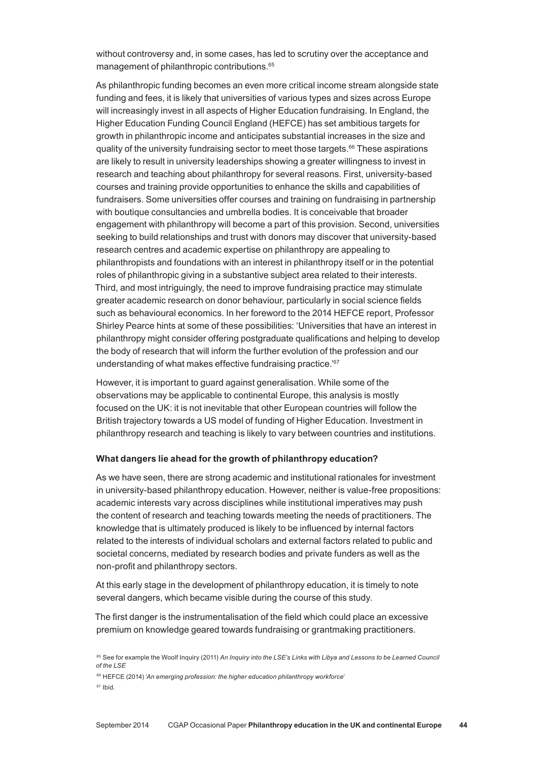without controversy and, in some cases, has led to scrutiny over the acceptance and management of philanthropic contributions.65

As philanthropic funding becomes an even more critical income stream alongside state funding and fees, it is likely that universities of various types and sizes across Europe will increasingly invest in all aspects of Higher Education fundraising. In England, the Higher Education Funding Council England (HEFCE) has set ambitious targets for growth in philanthropic income and anticipates substantial increases in the size and quality of the university fundraising sector to meet those targets.66 These aspirations are likely to result in university leaderships showing a greater willingness to invest in research and teaching about philanthropy for several reasons. First, university‑based courses and training provide opportunities to enhance the skills and capabilities of fundraisers. Some universities offer courses and training on fundraising in partnership with boutique consultancies and umbrella bodies. It is conceivable that broader engagement with philanthropy will become a part of this provision. Second, universities seeking to build relationships and trust with donors may discover that university-based research centres and academic expertise on philanthropy are appealing to philanthropists and foundations with an interest in philanthropy itself or in the potential roles of philanthropic giving in a substantive subject area related to their interests. Third, and most intriguingly, the need to improve fundraising practice may stimulate greater academic research on donor behaviour, particularly in social science fields such as behavioural economics. In her foreword to the 2014 HEFCE report, Professor Shirley Pearce hints at some of these possibilities: 'Universities that have an interest in philanthropy might consider offering postgraduate qualifications and helping to develop the body of research that will inform the further evolution of the profession and our understanding of what makes effective fundraising practice.'<sup>67</sup>

However, it is important to guard against generalisation. While some of the observations may be applicable to continental Europe, this analysis is mostly focused on the UK: it is not inevitable that other European countries will follow the British trajectory towards a US model of funding of Higher Education. Investment in philanthropy research and teaching is likely to vary between countries and institutions.

#### **What dangers lie ahead for the growth of philanthropy education?**

As we have seen, there are strong academic and institutional rationales for investment in university-based philanthropy education. However, neither is value-free propositions: academic interests vary across disciplines while institutional imperatives may push the content of research and teaching towards meeting the needs of practitioners. The knowledge that is ultimately produced is likely to be influenced by internal factors related to the interests of individual scholars and external factors related to public and societal concerns, mediated by research bodies and private funders as well as the non‑profit and philanthropy sectors.

At this early stage in the development of philanthropy education, it is timely to note several dangers, which became visible during the course of this study.

The first danger is the instrumentalisation of the field which could place an excessive premium on knowledge geared towards fundraising or grantmaking practitioners.

<sup>66</sup> HEFCE (2014) '*An emerging profession: the higher education philanthropy workforce*'

 $67$  Ibid.

<sup>&</sup>lt;sup>65</sup> See for example the Woolf Inquiry (2011) *An Inquiry into the LSE's Links with Libya and Lessons to be Learned Council of the LSE*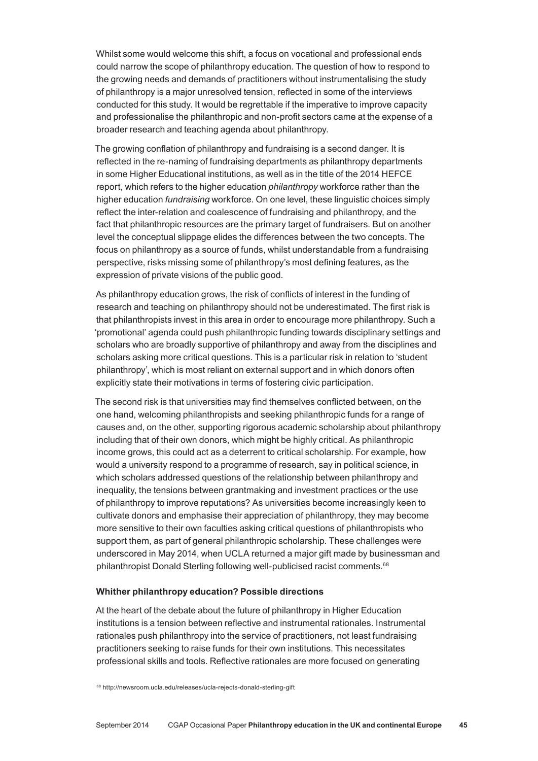Whilst some would welcome this shift, a focus on vocational and professional ends could narrow the scope of philanthropy education. The question of how to respond to the growing needs and demands of practitioners without instrumentalising the study of philanthropy is a major unresolved tension, reflected in some of the interviews conducted for this study. It would be regrettable if the imperative to improve capacity and professionalise the philanthropic and non‑profit sectors came at the expense of a broader research and teaching agenda about philanthropy.

The growing conflation of philanthropy and fundraising is a second danger. It is reflected in the re‑naming of fundraising departments as philanthropy departments in some Higher Educational institutions, as well as in the title of the 2014 HEFCE report, which refers to the higher education *philanthropy* workforce rather than the higher education *fundraising* workforce. On one level, these linguistic choices simply reflect the inter-relation and coalescence of fundraising and philanthropy, and the fact that philanthropic resources are the primary target of fundraisers. But on another level the conceptual slippage elides the differences between the two concepts. The focus on philanthropy as a source of funds, whilst understandable from a fundraising perspective, risks missing some of philanthropy's most defining features, as the expression of private visions of the public good.

As philanthropy education grows, the risk of conflicts of interest in the funding of research and teaching on philanthropy should not be underestimated. The first risk is that philanthropists invest in this area in order to encourage more philanthropy. Such a 'promotional' agenda could push philanthropic funding towards disciplinary settings and scholars who are broadly supportive of philanthropy and away from the disciplines and scholars asking more critical questions. This is a particular risk in relation to 'student philanthropy', which is most reliant on external support and in which donors often explicitly state their motivations in terms of fostering civic participation.

The second risk is that universities may find themselves conflicted between, on the one hand, welcoming philanthropists and seeking philanthropic funds for a range of causes and, on the other, supporting rigorous academic scholarship about philanthropy including that of their own donors, which might be highly critical. As philanthropic income grows, this could act as a deterrent to critical scholarship. For example, how would a university respond to a programme of research, say in political science, in which scholars addressed questions of the relationship between philanthropy and inequality, the tensions between grantmaking and investment practices or the use of philanthropy to improve reputations? As universities become increasingly keen to cultivate donors and emphasise their appreciation of philanthropy, they may become more sensitive to their own faculties asking critical questions of philanthropists who support them, as part of general philanthropic scholarship. These challenges were underscored in May 2014, when UCLA returned a major gift made by businessman and philanthropist Donald Sterling following well-publicised racist comments.<sup>68</sup>

#### **Whither philanthropy education? Possible directions**

At the heart of the debate about the future of philanthropy in Higher Education institutions is a tension between reflective and instrumental rationales. Instrumental rationales push philanthropy into the service of practitioners, not least fundraising practitioners seeking to raise funds for their own institutions. This necessitates professional skills and tools. Reflective rationales are more focused on generating

<sup>68</sup> http://newsroom.ucla.edu/releases/ucla-rejects-donald-sterling-gift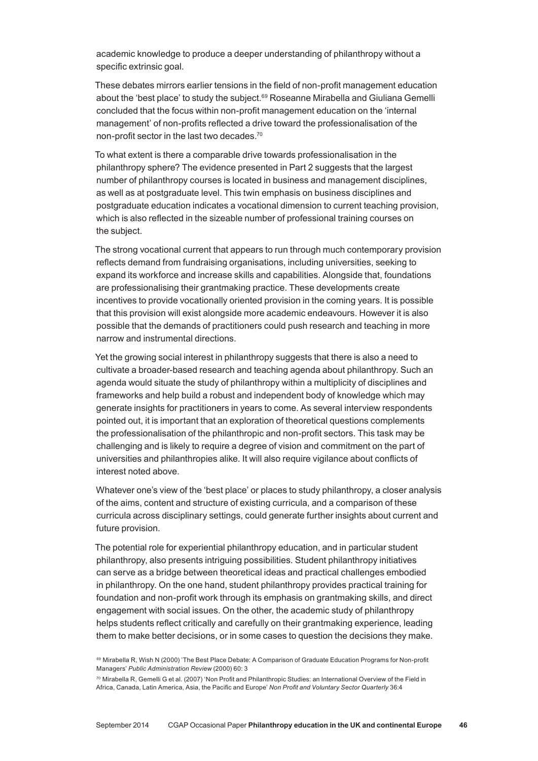academic knowledge to produce a deeper understanding of philanthropy without a specific extrinsic goal.

These debates mirrors earlier tensions in the field of non‑profit management education about the 'best place' to study the subject.<sup>69</sup> Roseanne Mirabella and Giuliana Gemelli concluded that the focus within non‑profit management education on the 'internal management' of non‑profits reflected a drive toward the professionalisation of the non-profit sector in the last two decades.<sup>70</sup>

To what extent is there a comparable drive towards professionalisation in the philanthropy sphere? The evidence presented in Part 2 suggests that the largest number of philanthropy courses is located in business and management disciplines, as well as at postgraduate level. This twin emphasis on business disciplines and postgraduate education indicates a vocational dimension to current teaching provision, which is also reflected in the sizeable number of professional training courses on the subject.

The strong vocational current that appears to run through much contemporary provision reflects demand from fundraising organisations, including universities, seeking to expand its workforce and increase skills and capabilities. Alongside that, foundations are professionalising their grantmaking practice. These developments create incentives to provide vocationally oriented provision in the coming years. It is possible that this provision will exist alongside more academic endeavours. However it is also possible that the demands of practitioners could push research and teaching in more narrow and instrumental directions.

Yet the growing social interest in philanthropy suggests that there is also a need to cultivate a broader‑based research and teaching agenda about philanthropy. Such an agenda would situate the study of philanthropy within a multiplicity of disciplines and frameworks and help build a robust and independent body of knowledge which may generate insights for practitioners in years to come. As several interview respondents pointed out, it is important that an exploration of theoretical questions complements the professionalisation of the philanthropic and non‑profit sectors. This task may be challenging and is likely to require a degree of vision and commitment on the part of universities and philanthropies alike. It will also require vigilance about conflicts of interest noted above.

Whatever one's view of the 'best place' or places to study philanthropy, a closer analysis of the aims, content and structure of existing curricula, and a comparison of these curricula across disciplinary settings, could generate further insights about current and future provision.

The potential role for experiential philanthropy education, and in particular student philanthropy, also presents intriguing possibilities. Student philanthropy initiatives can serve as a bridge between theoretical ideas and practical challenges embodied in philanthropy. On the one hand, student philanthropy provides practical training for foundation and non‑profit work through its emphasis on grantmaking skills, and direct engagement with social issues. On the other, the academic study of philanthropy helps students reflect critically and carefully on their grantmaking experience, leading them to make better decisions, or in some cases to question the decisions they make.

<sup>69</sup> Mirabella R, Wish N (2000) 'The Best Place Debate: A Comparison of Graduate Education Programs for Non-profit Managers' *Public Administration Review* (2000) 60: 3

 $70$  Mirabella R, Gemelli G et al. (2007) 'Non Profit and Philanthropic Studies: an International Overview of the Field in Africa, Canada, Latin America, Asia, the Pacific and Europe' *Non Profit and Voluntary Sector Quarterly* 36:4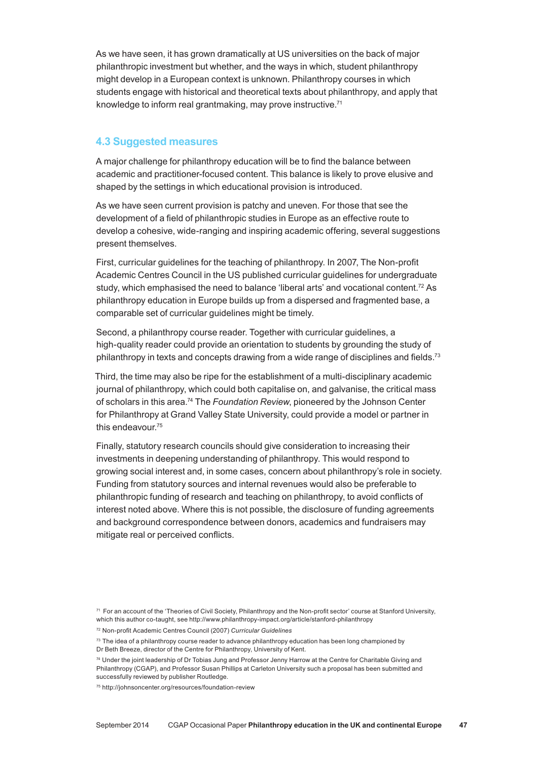As we have seen, it has grown dramatically at US universities on the back of major philanthropic investment but whether, and the ways in which, student philanthropy might develop in a European context is unknown. Philanthropy courses in which students engage with historical and theoretical texts about philanthropy, and apply that knowledge to inform real grantmaking, may prove instructive.71

# **4.3 Suggested measures**

A major challenge for philanthropy education will be to find the balance between academic and practitioner‑focused content. This balance is likely to prove elusive and shaped by the settings in which educational provision is introduced.

As we have seen current provision is patchy and uneven. For those that see the development of a field of philanthropic studies in Europe as an effective route to develop a cohesive, wide-ranging and inspiring academic offering, several suggestions present themselves.

First, curricular quidelines for the teaching of philanthropy. In 2007, The Non-profit Academic Centres Council in the US published curricular guidelines for undergraduate study, which emphasised the need to balance 'liberal arts' and vocational content.<sup>72</sup> As philanthropy education in Europe builds up from a dispersed and fragmented base, a comparable set of curricular guidelines might be timely.

Second, a philanthropy course reader. Together with curricular guidelines, a high-quality reader could provide an orientation to students by grounding the study of philanthropy in texts and concepts drawing from a wide range of disciplines and fields.<sup>73</sup>

Third, the time may also be ripe for the establishment of a multi‑disciplinary academic journal of philanthropy, which could both capitalise on, and galvanise, the critical mass of scholars in this area.74 The *Foundation Review*, pioneered by the Johnson Center for Philanthropy at Grand Valley State University, could provide a model or partner in this endeavour<sup>75</sup>

Finally, statutory research councils should give consideration to increasing their investments in deepening understanding of philanthropy. This would respond to growing social interest and, in some cases, concern about philanthropy's role in society. Funding from statutory sources and internal revenues would also be preferable to philanthropic funding of research and teaching on philanthropy, to avoid conflicts of interest noted above. Where this is not possible, the disclosure of funding agreements and background correspondence between donors, academics and fundraisers may mitigate real or perceived conflicts.

<sup>71</sup> For an account of the 'Theories of Civil Society, Philanthropy and the Non-profit sector' course at Stanford University, which this author co-taught, see http://www.philanthropy-impact.org/article/stanford-philanthropy

<sup>72</sup> Non‑profit Academic Centres Council (2007) *Curricular Guidelines*

<sup>73</sup> The idea of a philanthropy course reader to advance philanthropy education has been long championed by Dr Beth Breeze, director of the Centre for Philanthropy, University of Kent.

<sup>74</sup> Under the joint leadership of Dr Tobias Jung and Professor Jenny Harrow at the Centre for Charitable Giving and Philanthropy (CGAP), and Professor Susan Phillips at Carleton University such a proposal has been submitted and successfully reviewed by publisher Routledge.

<sup>75</sup> http://johnsoncenter.org/resources/foundation‑review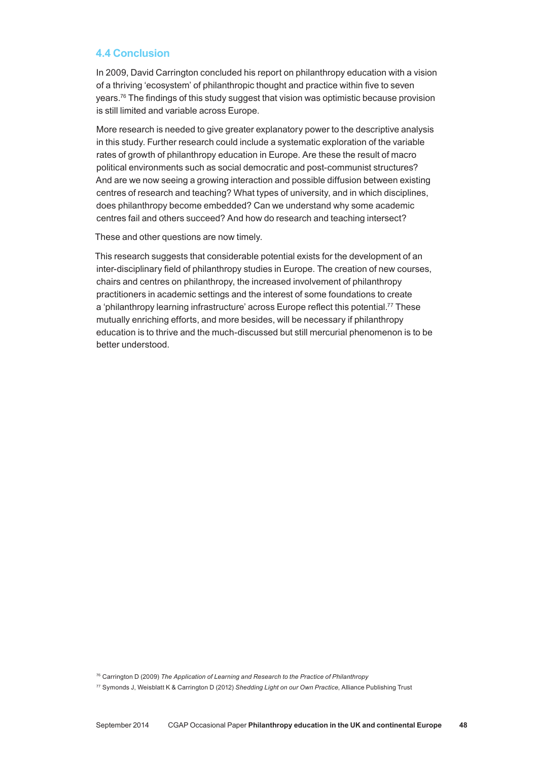# **4.4 Conclusion**

In 2009, David Carrington concluded his report on philanthropy education with a vision of a thriving 'ecosystem' of philanthropic thought and practice within five to seven years.<sup>76</sup> The findings of this study suggest that vision was optimistic because provision is still limited and variable across Europe.

More research is needed to give greater explanatory power to the descriptive analysis in this study. Further research could include a systematic exploration of the variable rates of growth of philanthropy education in Europe. Are these the result of macro political environments such as social democratic and post-communist structures? And are we now seeing a growing interaction and possible diffusion between existing centres of research and teaching? What types of university, and in which disciplines, does philanthropy become embedded? Can we understand why some academic centres fail and others succeed? And how do research and teaching intersect?

These and other questions are now timely.

This research suggests that considerable potential exists for the development of an inter-disciplinary field of philanthropy studies in Europe. The creation of new courses, chairs and centres on philanthropy, the increased involvement of philanthropy practitioners in academic settings and the interest of some foundations to create a 'philanthropy learning infrastructure' across Europe reflect this potential.77 These mutually enriching efforts, and more besides, will be necessary if philanthropy education is to thrive and the much‑discussed but still mercurial phenomenon is to be better understood.

<sup>76</sup> Carrington D (2009) *The Application of Learning and Research to the Practice of Philanthropy*

<sup>77</sup> Symonds J, Weisblatt K & Carrington D (2012) *Shedding Light on our Own Practice*, Alliance Publishing Trust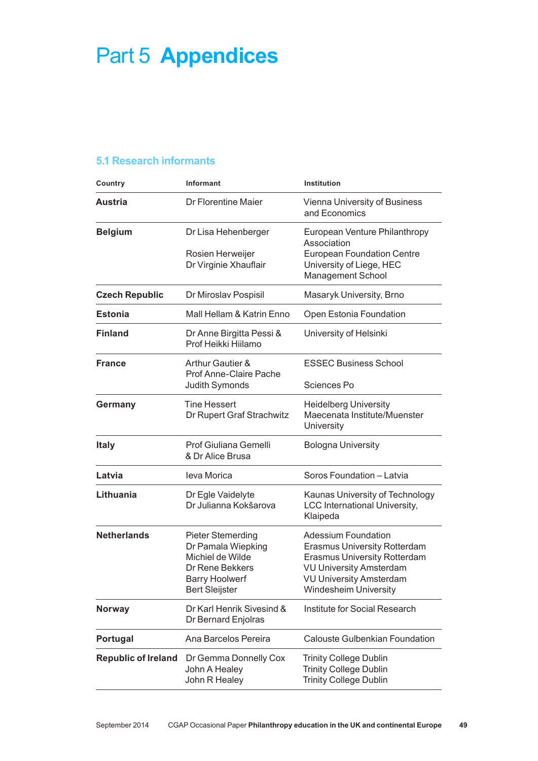# Part 5 **Appendices**

# **5.1 Research informants**

| Country                    | <b>Informant</b>                                                                                                                               | <b>Institution</b>                                                                                                                                                                                           |
|----------------------------|------------------------------------------------------------------------------------------------------------------------------------------------|--------------------------------------------------------------------------------------------------------------------------------------------------------------------------------------------------------------|
| <b>Austria</b>             | Dr Florentine Maier                                                                                                                            | Vienna University of Business<br>and Economics                                                                                                                                                               |
| <b>Belgium</b>             | Dr Lisa Hehenberger<br>Rosien Herweijer<br>Dr Virginie Xhauflair                                                                               | European Venture Philanthropy<br>Association<br><b>European Foundation Centre</b><br>University of Liege, HEC<br><b>Management School</b>                                                                    |
| <b>Czech Republic</b>      | Dr Miroslav Pospisil                                                                                                                           | Masaryk University, Brno                                                                                                                                                                                     |
| <b>Estonia</b>             | Mall Hellam & Katrin Enno                                                                                                                      | Open Estonia Foundation                                                                                                                                                                                      |
| <b>Finland</b>             | Dr Anne Birgitta Pessi &<br>Prof Heikki Hiilamo                                                                                                | University of Helsinki                                                                                                                                                                                       |
| <b>France</b>              | <b>Arthur Gautier &amp;</b><br>Prof Anne-Claire Pache                                                                                          | <b>ESSEC Business School</b>                                                                                                                                                                                 |
| Germany                    | Judith Symonds<br><b>Tine Hessert</b>                                                                                                          | Sciences Po<br><b>Heidelberg University</b>                                                                                                                                                                  |
|                            | Dr Rupert Graf Strachwitz                                                                                                                      | Maecenata Institute/Muenster<br>University                                                                                                                                                                   |
| <b>Italy</b>               | Prof Giuliana Gemelli<br>& Dr Alice Brusa                                                                                                      | <b>Bologna University</b>                                                                                                                                                                                    |
| Latvia                     | leva Morica                                                                                                                                    | Soros Foundation - Latvia                                                                                                                                                                                    |
| Lithuania                  | Dr Egle Vaidelyte<br>Dr Julianna Kokšarova                                                                                                     | Kaunas University of Technology<br><b>LCC International University,</b><br>Klaipeda                                                                                                                          |
| <b>Netherlands</b>         | <b>Pieter Stemerding</b><br>Dr Pamala Wiepking<br>Michiel de Wilde<br><b>Dr Rene Bekkers</b><br><b>Barry Hoolwerf</b><br><b>Bert Sleijster</b> | <b>Adessium Foundation</b><br><b>Erasmus University Rotterdam</b><br><b>Erasmus University Rotterdam</b><br><b>VU University Amsterdam</b><br><b>VU University Amsterdam</b><br><b>Windesheim University</b> |
| <b>Norway</b>              | Dr Karl Henrik Sivesind &<br>Dr Bernard Enjolras                                                                                               | Institute for Social Research                                                                                                                                                                                |
| Portugal                   | Ana Barcelos Pereira                                                                                                                           | Calouste Gulbenkian Foundation                                                                                                                                                                               |
| <b>Republic of Ireland</b> | Dr Gemma Donnelly Cox<br>John A Healey<br>John R Healey                                                                                        | <b>Trinity College Dublin</b><br><b>Trinity College Dublin</b><br><b>Trinity College Dublin</b>                                                                                                              |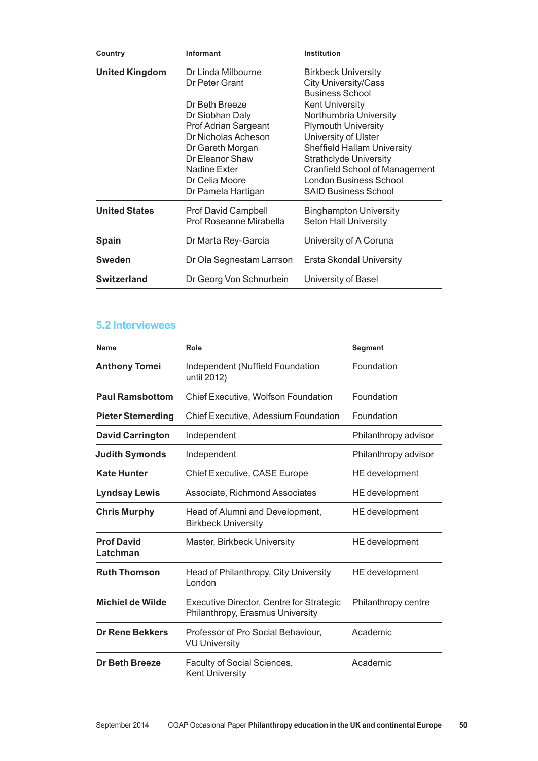| Country               | Informant                                                                                                                                                                       | Institution                                                                                                                                                                                                                                                                     |
|-----------------------|---------------------------------------------------------------------------------------------------------------------------------------------------------------------------------|---------------------------------------------------------------------------------------------------------------------------------------------------------------------------------------------------------------------------------------------------------------------------------|
| <b>United Kingdom</b> | Dr Linda Milbourne<br>Dr Peter Grant                                                                                                                                            | <b>Birkbeck University</b><br><b>City University/Cass</b><br><b>Business School</b>                                                                                                                                                                                             |
|                       | Dr Beth Breeze<br>Dr Siobhan Daly<br>Prof Adrian Sargeant<br>Dr Nicholas Acheson<br>Dr Gareth Morgan<br>Dr Eleanor Shaw<br>Nadine Exter<br>Dr Celia Moore<br>Dr Pamela Hartigan | <b>Kent University</b><br>Northumbria University<br><b>Plymouth University</b><br>University of Ulster<br>Sheffield Hallam University<br><b>Strathclyde University</b><br><b>Cranfield School of Management</b><br><b>London Business School</b><br><b>SAID Business School</b> |
| <b>United States</b>  | <b>Prof David Campbell</b><br>Prof Roseanne Mirabella                                                                                                                           | <b>Binghampton University</b><br><b>Seton Hall University</b>                                                                                                                                                                                                                   |
| <b>Spain</b>          | Dr Marta Rey-Garcia                                                                                                                                                             | University of A Coruna                                                                                                                                                                                                                                                          |
| <b>Sweden</b>         | Dr Ola Segnestam Larrson                                                                                                                                                        | Ersta Skondal University                                                                                                                                                                                                                                                        |
| <b>Switzerland</b>    | Dr Georg Von Schnurbein                                                                                                                                                         | University of Basel                                                                                                                                                                                                                                                             |

# **5.2 Interviewees**

| <b>Name</b>                   | Role                                                                         | <b>Segment</b>       |
|-------------------------------|------------------------------------------------------------------------------|----------------------|
| <b>Anthony Tomei</b>          | Independent (Nuffield Foundation<br>until 2012)                              | Foundation           |
| <b>Paul Ramsbottom</b>        | <b>Chief Executive, Wolfson Foundation</b>                                   | Foundation           |
| <b>Pieter Stemerding</b>      | Chief Executive, Adessium Foundation                                         | Foundation           |
| <b>David Carrington</b>       | Independent                                                                  | Philanthropy advisor |
| <b>Judith Symonds</b>         | Independent                                                                  | Philanthropy advisor |
| <b>Kate Hunter</b>            | <b>Chief Executive, CASE Europe</b>                                          | HE development       |
| <b>Lyndsay Lewis</b>          | Associate, Richmond Associates                                               | HE development       |
| <b>Chris Murphy</b>           | Head of Alumni and Development,<br><b>Birkbeck University</b>                | HE development       |
| <b>Prof David</b><br>Latchman | Master, Birkbeck University                                                  | HE development       |
| <b>Ruth Thomson</b>           | Head of Philanthropy, City University<br>London                              | HE development       |
| <b>Michiel de Wilde</b>       | Executive Director, Centre for Strategic<br>Philanthropy, Erasmus University | Philanthropy centre  |
| <b>Dr Rene Bekkers</b>        | Professor of Pro Social Behaviour,<br><b>VU University</b>                   | Academic             |
| Dr Beth Breeze                | Faculty of Social Sciences,<br><b>Kent University</b>                        | Academic             |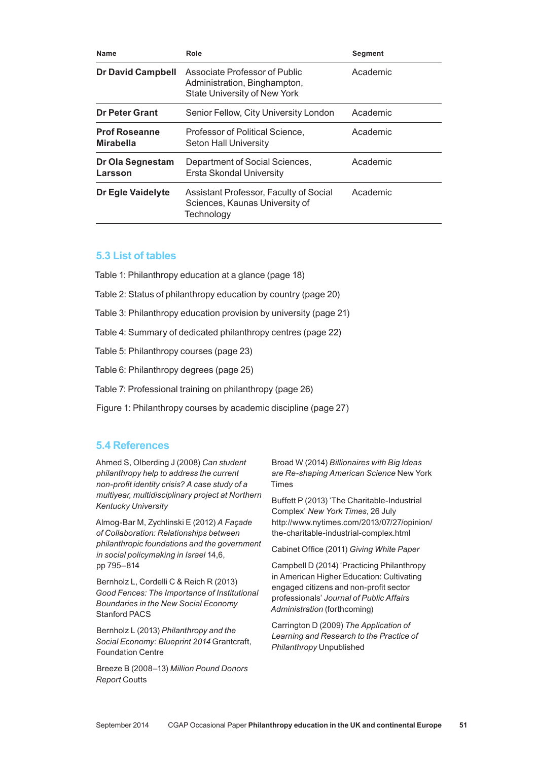| <b>Name</b>                              | Role                                                                                          | <b>Segment</b> |
|------------------------------------------|-----------------------------------------------------------------------------------------------|----------------|
| <b>Dr David Campbell</b>                 | Associate Professor of Public<br>Administration, Binghampton,<br>State University of New York | Academic       |
| <b>Dr Peter Grant</b>                    | Senior Fellow, City University London                                                         | Academic       |
| <b>Prof Roseanne</b><br><b>Mirabella</b> | Professor of Political Science,<br><b>Seton Hall University</b>                               | Academic       |
| Dr Ola Segnestam<br>Larsson              | Department of Social Sciences,<br>Ersta Skondal University                                    | Academic       |
| Dr Egle Vaidelyte                        | Assistant Professor, Faculty of Social<br>Sciences, Kaunas University of<br>Technology        | Academic       |

# **5.3 List of tables**

- Table 1: Philanthropy education at a glance (page 18)
- Table 2: Status of philanthropy education by country (page 20)
- Table 3: Philanthropy education provision by university (page 21)
- Table 4: Summary of dedicated philanthropy centres (page 22)
- Table 5: Philanthropy courses (page 23)
- Table 6: Philanthropy degrees (page 25)
- Table 7: Professional training on philanthropy (page 26)
- Figure 1: Philanthropy courses by academic discipline (page 27)

# **5.4 References**

Ahmed S, Olberding J (2008) *Can student philanthropy help to address the current non‑profit identity crisis? A case study of a multiyear, multidisciplinary project at Northern Kentucky University*

Almog-Bar M, Zychlinski E (2012) *A Façade of Collaboration: Relationships between philanthropic foundations and the government in social policymaking in Israel* 14,6, pp 795–814

Bernholz L, Cordelli C & Reich R (2013) *Good Fences: The Importance of Institutional Boundaries in the New Social Economy* Stanford PACS

Bernholz L (2013) *Philanthropy and the Social Economy: Blueprint 2014* Grantcraft, Foundation Centre

Breeze B (2008–13) *Million Pound Donors Report* Coutts

Broad W (2014) *Billionaires with Big Ideas are Re‑shaping American Science* New York Times

Buffett P (2013) 'The Charitable-Industrial Complex' *New York Times*, 26 July http://www.nytimes.com/2013/07/27/opinion/ the-charitable-industrial-complex.html

Cabinet Office (2011) *Giving White Paper*

Campbell D (2014) 'Practicing Philanthropy in American Higher Education: Cultivating engaged citizens and non‑profit sector professionals' *Journal of Public Affairs Administration* (forthcoming)

Carrington D (2009) *The Application of Learning and Research to the Practice of Philanthropy* Unpublished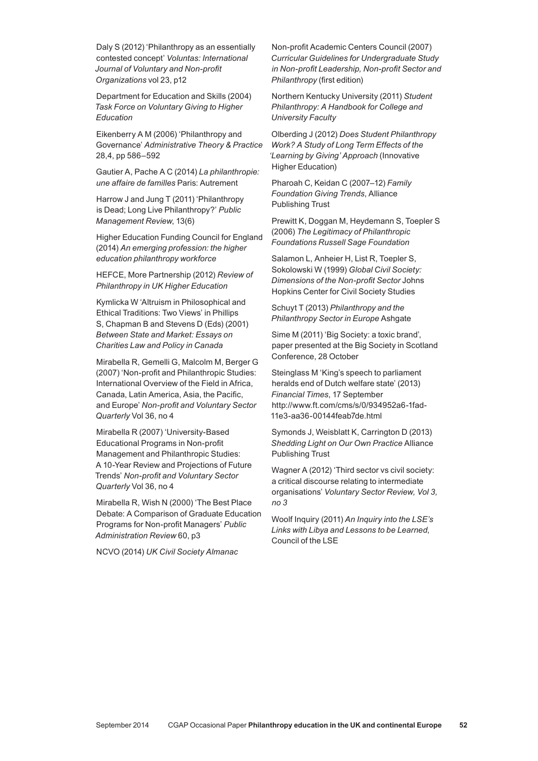Daly S (2012) 'Philanthropy as an essentially contested concept' *Voluntas: International Journal of Voluntary and Non‑profit Organizations* vol 23, p12

Department for Education and Skills (2004) *Task Force on Voluntary Giving to Higher Education*

Eikenberry A M (2006) 'Philanthropy and Governance' *Administrative Theory & Practice* 28,4, pp 586–592

Gautier A, Pache A C (2014) *La philanthropie: une affaire de familles* Paris: Autrement

Harrow J and Jung T (2011) 'Philanthropy is Dead; Long Live Philanthropy?' *Public Management Review*, 13(6)

Higher Education Funding Council for England (2014) *An emerging profession: the higher education philanthropy workforce*

HEFCE, More Partnership (2012) *Review of Philanthropy in UK Higher Education*

Kymlicka W 'Altruism in Philosophical and Ethical Traditions: Two Views' in Phillips S, Chapman B and Stevens D (Eds) (2001) *Between State and Market: Essays on Charities Law and Policy in Canada*

Mirabella R, Gemelli G, Malcolm M, Berger G (2007) 'Non‑profit and Philanthropic Studies: International Overview of the Field in Africa, Canada, Latin America, Asia, the Pacific, and Europe' *Non‑profit and Voluntary Sector Quarterly* Vol 36, no 4

Mirabella R (2007) 'University‑Based Educational Programs in Non‑profit Management and Philanthropic Studies: A 10‑Year Review and Projections of Future Trends' *Non‑profit and Voluntary Sector Quarterly* Vol 36, no 4

Mirabella R, Wish N (2000) 'The Best Place Debate: A Comparison of Graduate Education Programs for Non‑profit Managers' *Public Administration Review* 60, p3

NCVO (2014) *UK Civil Society Almanac*

Non‑profit Academic Centers Council (2007) *Curricular Guidelines for Undergraduate Study in Non‑profit Leadership, Non‑profit Sector and Philanthropy* (first edition)

Northern Kentucky University (2011) *Student Philanthropy: A Handbook for College and University Faculty*

Olberding J (2012) *Does Student Philanthropy Work? A Study of Long Term Effects of the 'Learning by Giving' Approach* (Innovative Higher Education)

Pharoah C, Keidan C (2007–12) *Family Foundation Giving Trends*, Alliance Publishing Trust

Prewitt K, Doggan M, Heydemann S, Toepler S (2006) *The Legitimacy of Philanthropic Foundations Russell Sage Foundation*

Salamon L, Anheier H, List R, Toepler S, Sokolowski W (1999) *Global Civil Society: Dimensions of the Non-profit Sector* Johns Hopkins Center for Civil Society Studies

Schuyt T (2013) *Philanthropy and the Philanthropy Sector in Europe* Ashgate

Sime M (2011) 'Big Society: a toxic brand', paper presented at the Big Society in Scotland Conference, 28 October

Steinglass M 'King's speech to parliament heralds end of Dutch welfare state' (2013) *Financial Times*, 17 September http://www.ft.com/cms/s/0/934952a6-1fad-11e3-aa36-00144feab7de.html

Symonds J, Weisblatt K, Carrington D (2013) *Shedding Light on Our Own Practice* Alliance Publishing Trust

Wagner A (2012) 'Third sector vs civil society: a critical discourse relating to intermediate organisations' *Voluntary Sector Review, Vol 3, no 3*

Woolf Inquiry (2011) *An Inquiry into the LSE's Links with Libya and Lessons to be Learned*, Council of the LSE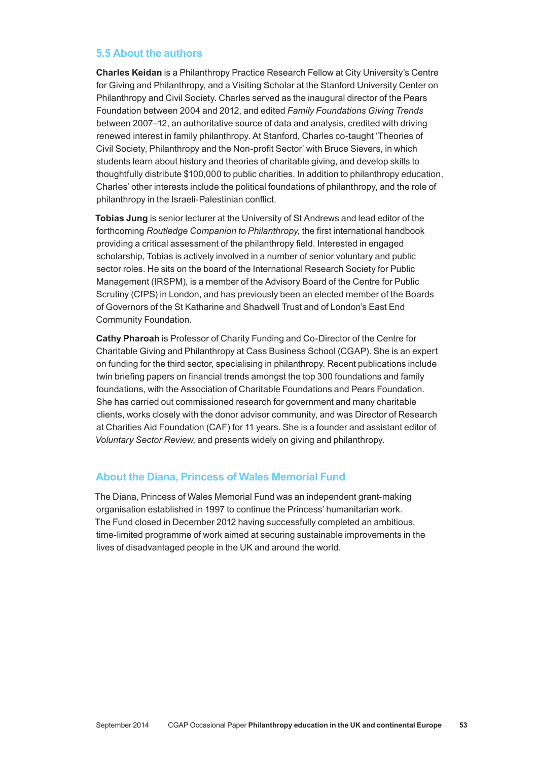# **5.5 About the authors**

**Charles Keidan** is a Philanthropy Practice Research Fellow at City University's Centre for Giving and Philanthropy, and a Visiting Scholar at the Stanford University Center on Philanthropy and Civil Society. Charles served as the inaugural director of the Pears Foundation between 2004 and 2012, and edited *Family Foundations Giving Trends*  between 2007–12, an authoritative source of data and analysis, credited with driving renewed interest in family philanthropy. At Stanford, Charles co‑taught 'Theories of Civil Society, Philanthropy and the Non‑profit Sector' with Bruce Sievers, in which students learn about history and theories of charitable giving, and develop skills to thoughtfully distribute \$100,000 to public charities. In addition to philanthropy education, Charles' other interests include the political foundations of philanthropy, and the role of philanthropy in the Israeli‑Palestinian conflict.

**Tobias Jung** is senior lecturer at the University of St Andrews and lead editor of the forthcoming *Routledge Companion to Philanthropy*, the first international handbook providing a critical assessment of the philanthropy field. Interested in engaged scholarship, Tobias is actively involved in a number of senior voluntary and public sector roles. He sits on the board of the International Research Society for Public Management (IRSPM), is a member of the Advisory Board of the Centre for Public Scrutiny (CfPS) in London, and has previously been an elected member of the Boards of Governors of the St Katharine and Shadwell Trust and of London's East End Community Foundation.

**Cathy Pharoah** is Professor of Charity Funding and Co-Director of the Centre for Charitable Giving and Philanthropy at Cass Business School (CGAP). She is an expert on funding for the third sector, specialising in philanthropy. Recent publications include twin briefing papers on financial trends amongst the top 300 foundations and family foundations, with the Association of Charitable Foundations and Pears Foundation. She has carried out commissioned research for government and many charitable clients, works closely with the donor advisor community, and was Director of Research at Charities Aid Foundation (CAF) for 11 years. She is a founder and assistant editor of *Voluntary Sector Review*, and presents widely on giving and philanthropy.

# **About the Diana, Princess of Wales Memorial Fund**

The Diana, Princess of Wales Memorial Fund was an independent grant-making organisation established in 1997 to continue the Princess' humanitarian work. The Fund closed in December 2012 having successfully completed an ambitious, time‑limited programme of work aimed at securing sustainable improvements in the lives of disadvantaged people in the UK and around the world.